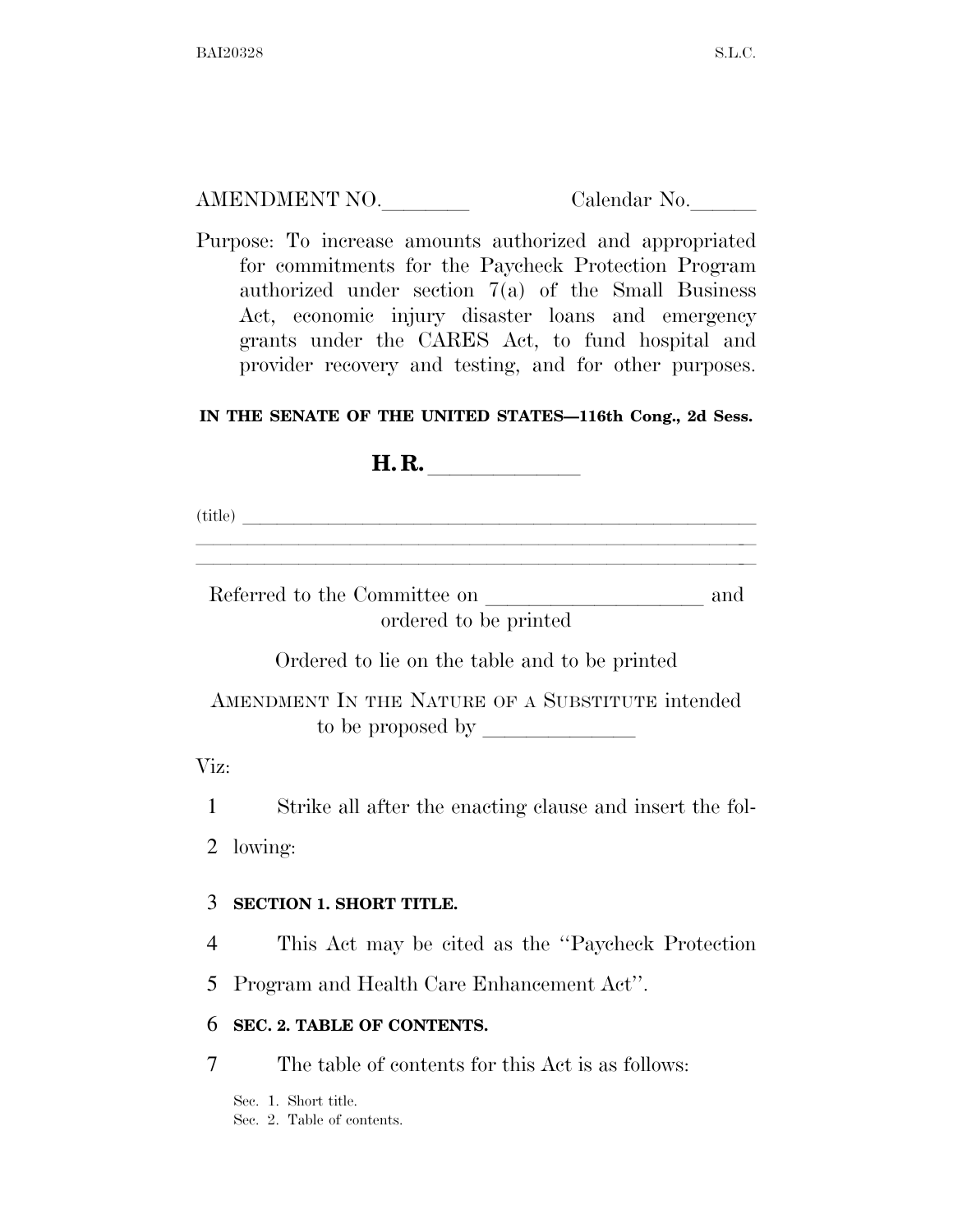| AMENDMENT NO. | Calendar No. |
|---------------|--------------|
|               |              |

Purpose: To increase amounts authorized and appropriated for commitments for the Paycheck Protection Program authorized under section 7(a) of the Small Business Act, economic injury disaster loans and emergency grants under the CARES Act, to fund hospital and provider recovery and testing, and for other purposes.

### **IN THE SENATE OF THE UNITED STATES—116th Cong., 2d Sess.**

| н<br>11. IV. |  |  |  |  |
|--------------|--|--|--|--|
|              |  |  |  |  |

(title)  $\overline{\phantom{m}}$ 

Referred to the Committee on  $\_\_$ ordered to be printed

llllalla llillla se anno 1988. I se anno 1988 a consequenza a consequenza a consequenza a consequenza a conseq<br>Llilla se anno 1988 a consequenza a consequenza a consequenza a consequenza a consequenza a consequenza a cons llllalla llillla se anno 1988 a cheapaig anno 1988. I anno 1988 a cheap anno 1988 a cheap anno 1988 a cheap an<br>Iomraidhean

Ordered to lie on the table and to be printed

AMENDMENT IN THE NATURE OF A SUBSTITUTE intended to be proposed by

Viz:

1 Strike all after the enacting clause and insert the fol-

2 lowing:

### 3 **SECTION 1. SHORT TITLE.**

4 This Act may be cited as the ''Paycheck Protection

5 Program and Health Care Enhancement Act''.

### 6 **SEC. 2. TABLE OF CONTENTS.**

7 The table of contents for this Act is as follows:

Sec. 1. Short title. Sec. 2. Table of contents.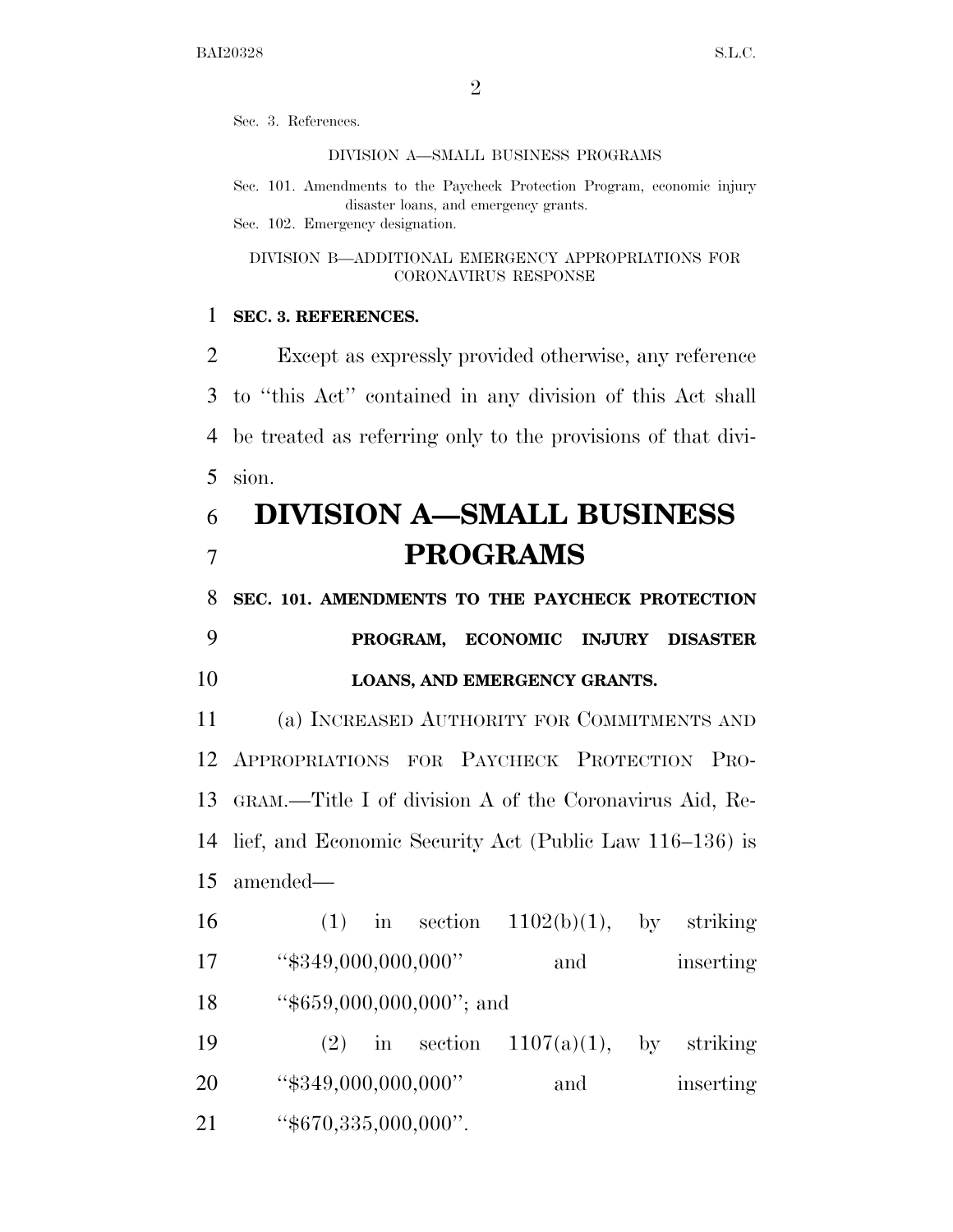Sec. 3. References.

#### DIVISION A—SMALL BUSINESS PROGRAMS

Sec. 101. Amendments to the Paycheck Protection Program, economic injury disaster loans, and emergency grants. Sec. 102. Emergency designation.

DIVISION B—ADDITIONAL EMERGENCY APPROPRIATIONS FOR CORONAVIRUS RESPONSE

### 1 **SEC. 3. REFERENCES.**

 Except as expressly provided otherwise, any reference to ''this Act'' contained in any division of this Act shall be treated as referring only to the provisions of that divi-5 sion.

# 6 **DIVISION A—SMALL BUSINESS**  7 **PROGRAMS**

8 **SEC. 101. AMENDMENTS TO THE PAYCHECK PROTECTION** 

### 9 **PROGRAM, ECONOMIC INJURY DISASTER**  10 **LOANS, AND EMERGENCY GRANTS.**

 (a) INCREASED AUTHORITY FOR COMMITMENTS AND APPROPRIATIONS FOR PAYCHECK PROTECTION PRO- GRAM.—Title I of division A of the Coronavirus Aid, Re- lief, and Economic Security Act (Public Law 116–136) is amended—

16 (1) in section  $1102(b)(1)$ , by striking 17 ''\$349,000,000,000'' and inserting 18 "\$659,000,000,000"; and 19 (2) in section  $1107(a)(1)$ , by striking 20 
"\$349,000,000,000" and inserting

21 ''\$670,335,000,000''.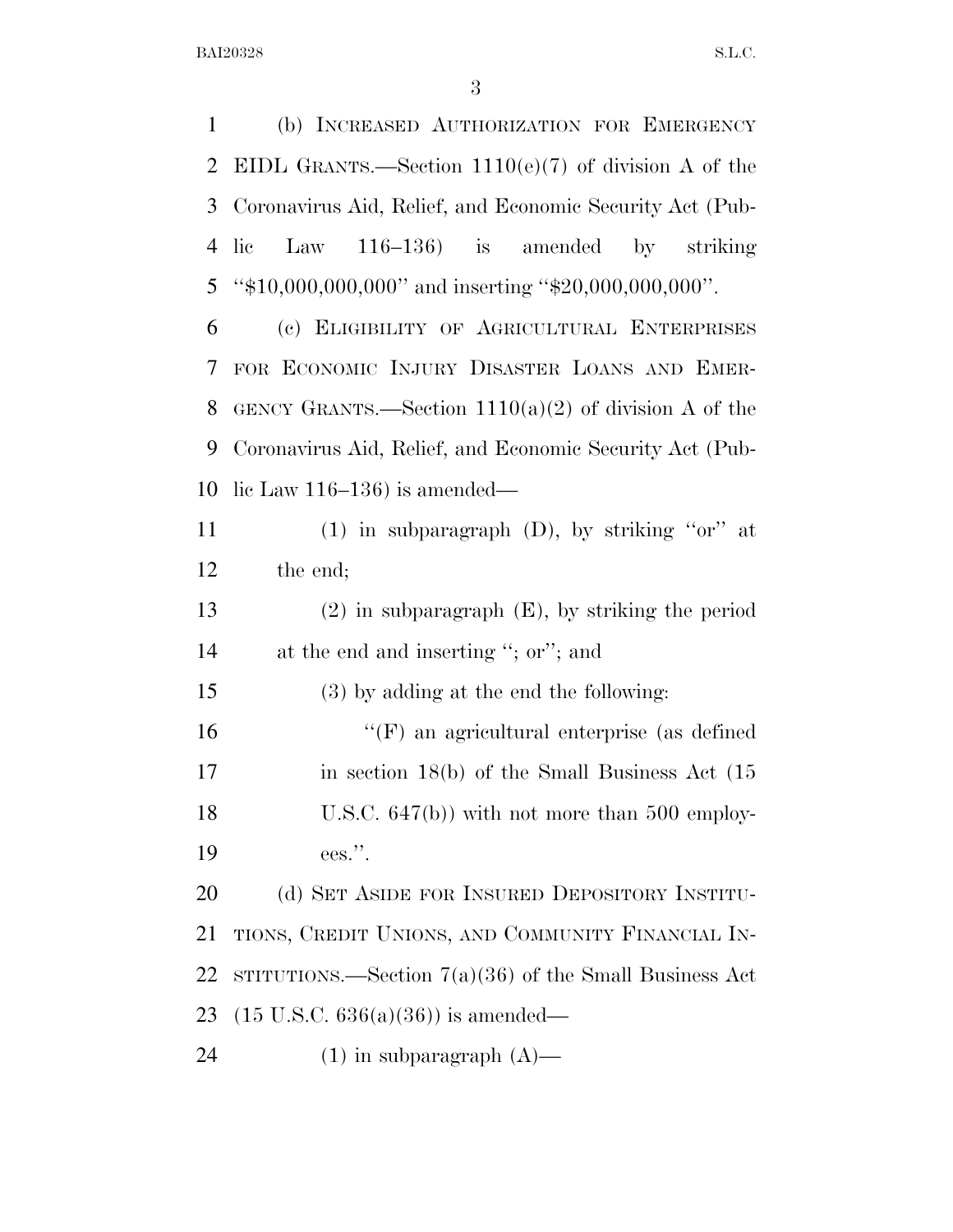(b) INCREASED AUTHORIZATION FOR EMERGENCY EIDL GRANTS.—Section 1110(e)(7) of division A of the Coronavirus Aid, Relief, and Economic Security Act (Pub- lic Law 116–136) is amended by striking ''\$10,000,000,000'' and inserting ''\$20,000,000,000''. (c) ELIGIBILITY OF AGRICULTURAL ENTERPRISES FOR ECONOMIC INJURY DISASTER LOANS AND EMER-8 GENCY GRANTS.—Section  $1110(a)(2)$  of division A of the Coronavirus Aid, Relief, and Economic Security Act (Pub- lic Law 116–136) is amended— (1) in subparagraph (D), by striking ''or'' at the end; (2) in subparagraph (E), by striking the period at the end and inserting ''; or''; and (3) by adding at the end the following: ''(F) an agricultural enterprise (as defined 17 in section 18(b) of the Small Business Act (15 18 U.S.C. 647(b)) with not more than 500 employ- ees.''. 20 (d) SET ASIDE FOR INSURED DEPOSITORY INSTITU- TIONS, CREDIT UNIONS, AND COMMUNITY FINANCIAL IN- STITUTIONS.—Section 7(a)(36) of the Small Business Act (15 U.S.C. 636(a)(36)) is amended—  $(1)$  in subparagraph  $(A)$ —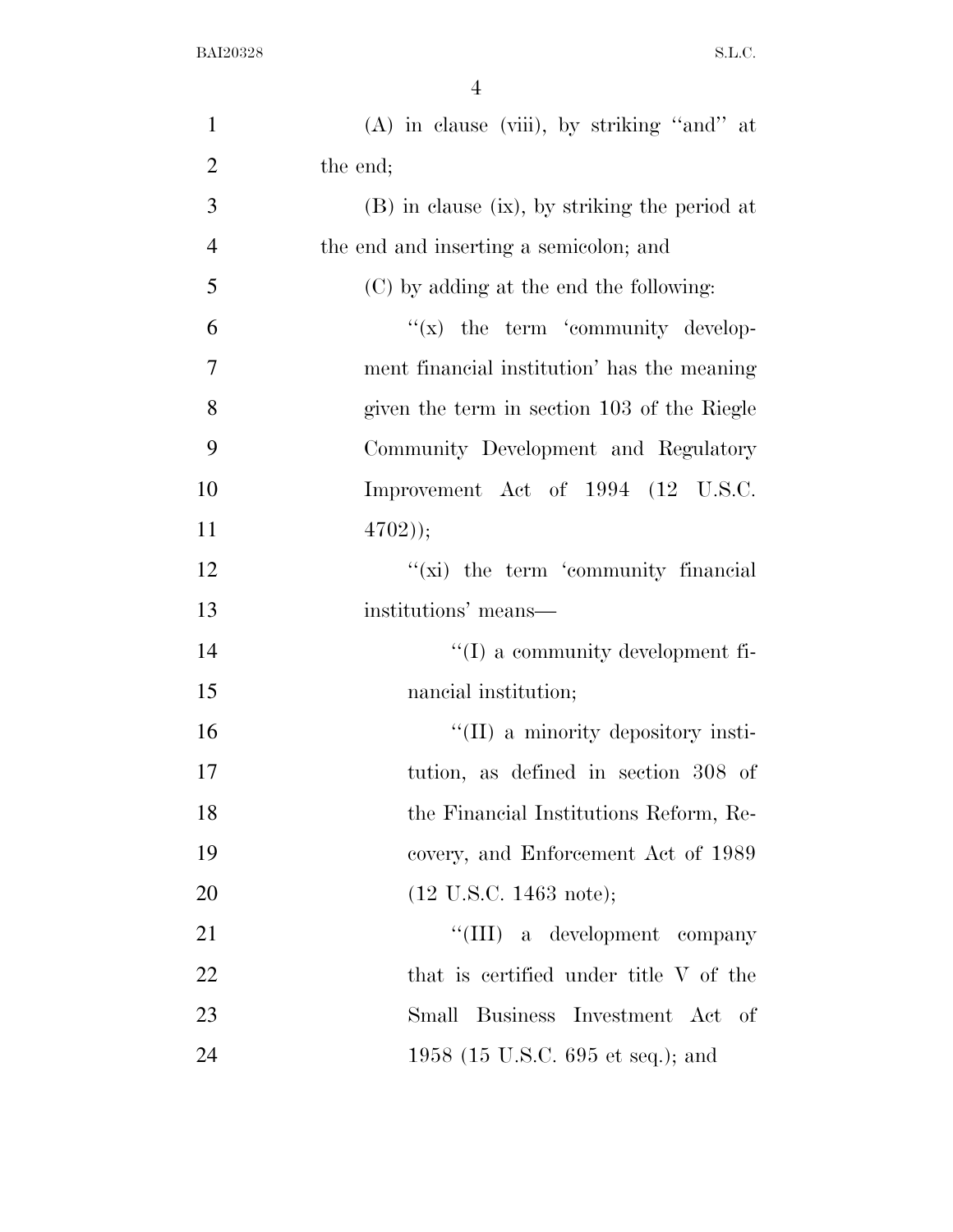| $\mathbf{1}$   | $(A)$ in clause (viii), by striking "and" at    |
|----------------|-------------------------------------------------|
| $\overline{2}$ | the end;                                        |
| 3              | $(B)$ in clause (ix), by striking the period at |
| $\overline{4}$ | the end and inserting a semicolon; and          |
| 5              | (C) by adding at the end the following:         |
| 6              | $f(x)$ the term 'community develop-             |
| $\overline{7}$ | ment financial institution' has the meaning     |
| 8              | given the term in section 103 of the Riegle     |
| 9              | Community Development and Regulatory            |
| 10             | Improvement Act of 1994 (12 U.S.C.              |
| 11             | (4702));                                        |
| 12             | $\lq\lq$ (xi) the term 'community financial     |
| 13             | institutions' means—                            |
| 14             | $\lq\lq$ a community development fi-            |
| 15             | nancial institution;                            |
| 16             | $\lq\lq$ (II) a minority depository insti-      |
| 17             | tution, as defined in section 308 of            |
| 18             | the Financial Institutions Reform, Re-          |
| 19             | covery, and Enforcement Act of 1989             |
| 20             | $(12 \text{ U.S.C. } 1463 \text{ note});$       |
| 21             | "(III) a development company                    |
| 22             | that is certified under title V of the          |
| 23             | Small Business Investment Act of                |
| 24             | 1958 (15 U.S.C. 695 et seq.); and               |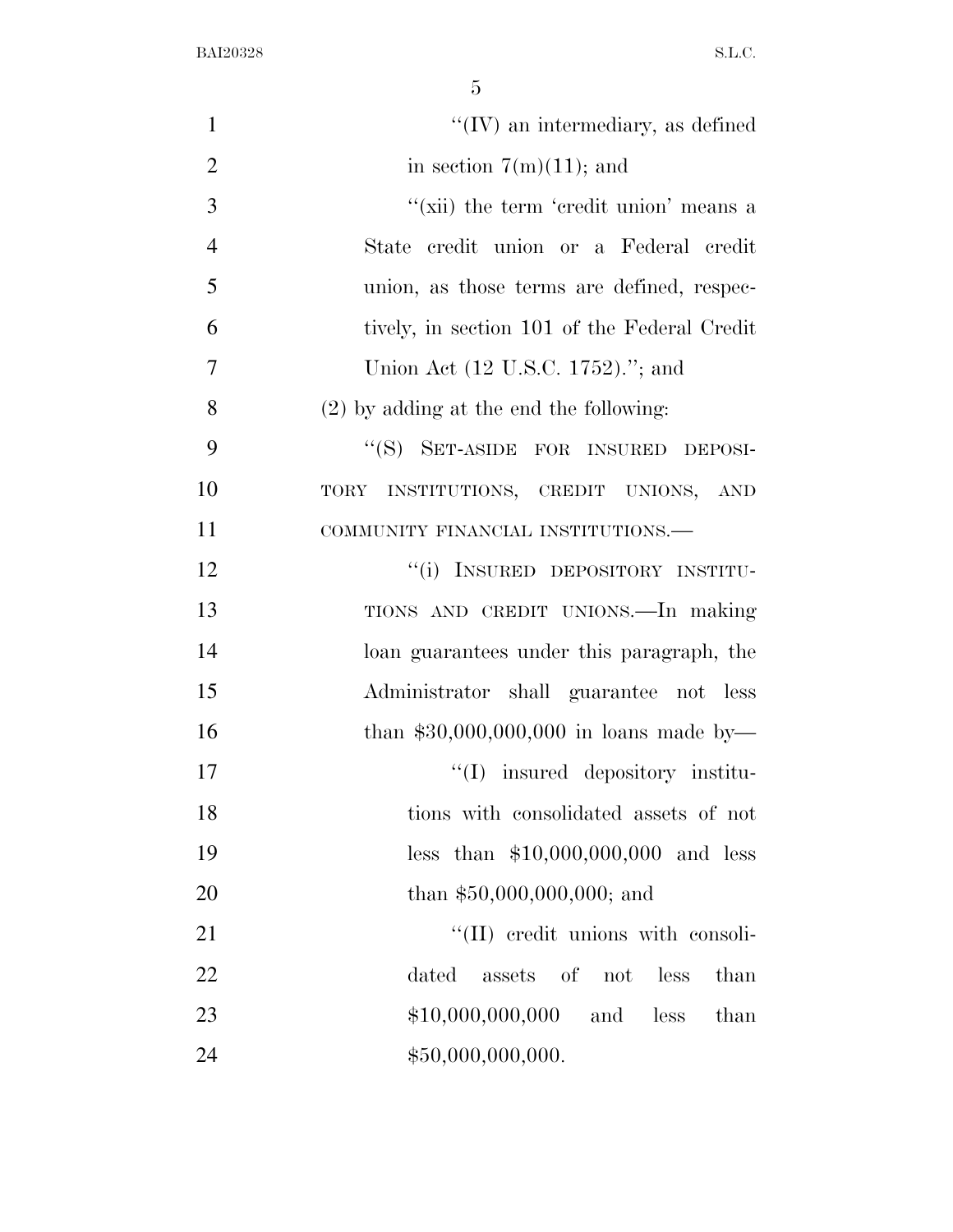| $\mathbf{1}$   | $\lq\lq$ (IV) an intermediary, as defined    |
|----------------|----------------------------------------------|
| $\overline{2}$ | in section $7(m)(11)$ ; and                  |
| 3              | "(xii) the term 'credit union' means a       |
| $\overline{4}$ | State credit union or a Federal credit       |
| 5              | union, as those terms are defined, respec-   |
| 6              | tively, in section 101 of the Federal Credit |
| $\overline{7}$ | Union Act (12 U.S.C. 1752)."; and            |
| 8              | $(2)$ by adding at the end the following:    |
| 9              | "(S) SET-ASIDE FOR INSURED DEPOSI-           |
| 10             | TORY INSTITUTIONS, CREDIT UNIONS, AND        |
| 11             | COMMUNITY FINANCIAL INSTITUTIONS.-           |
| 12             | "(i) INSURED DEPOSITORY INSTITU-             |
| 13             | TIONS AND CREDIT UNIONS. - In making         |
| 14             | loan guarantees under this paragraph, the    |
| 15             | Administrator shall guarantee not less       |
| 16             | than $$30,000,000,000$ in loans made by-     |
| 17             | "(I) insured depository institu-             |
| 18             | tions with consolidated assets of not        |
| 19             | less than $$10,000,000,000$ and less         |
| 20             | than $$50,000,000,000;$ and                  |
| 21             | "(II) credit unions with consoli-            |
| 22             | dated<br>assets of<br>not<br>less<br>than    |
| 23             | \$10,000,000,000<br>less<br>and<br>than      |
| 24             | \$50,000,000,000.                            |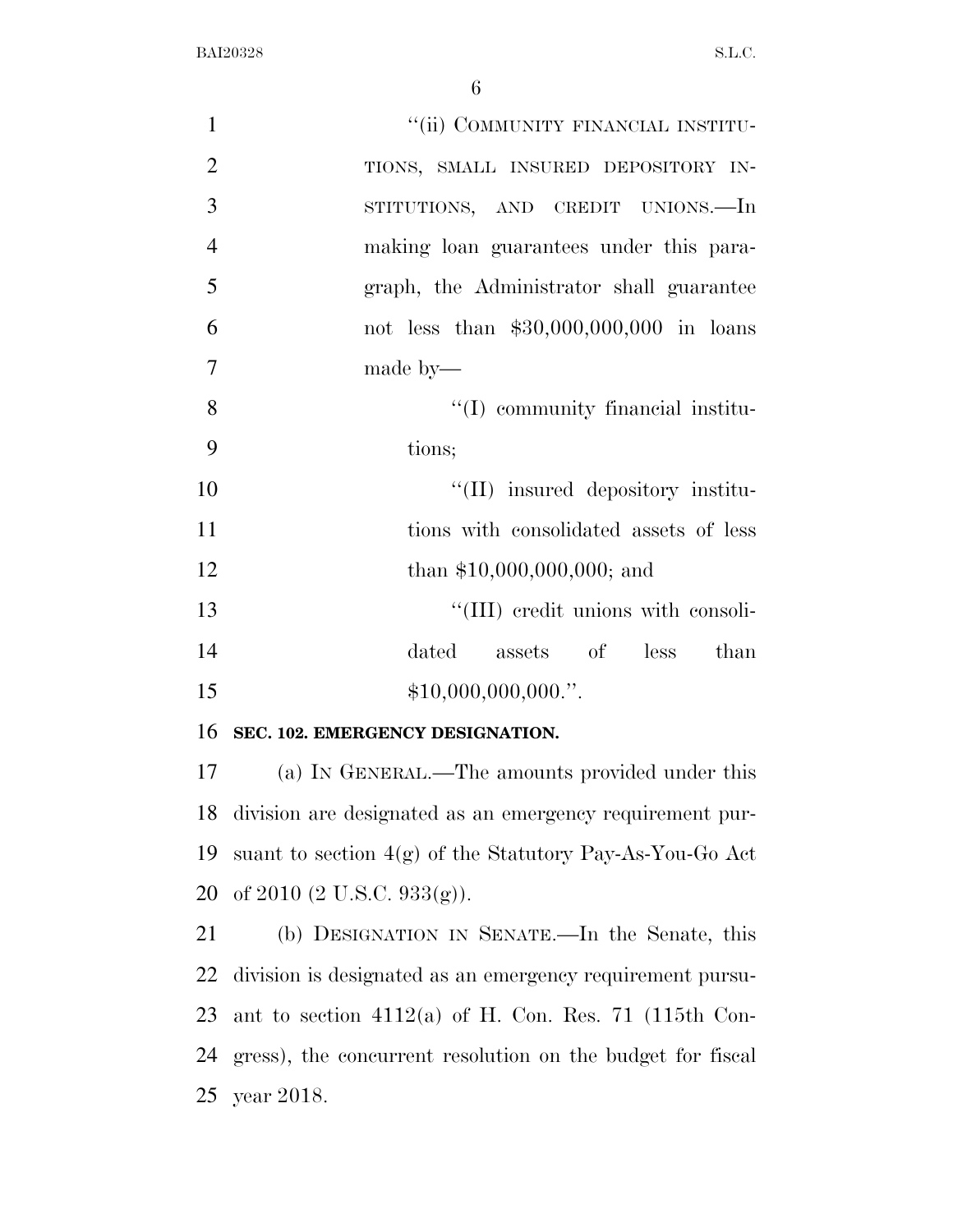| $\mathbf{1}$   | "(ii) COMMUNITY FINANCIAL INSTITU-        |
|----------------|-------------------------------------------|
| $\overline{2}$ | TIONS, SMALL INSURED DEPOSITORY IN-       |
| 3              | STITUTIONS, AND CREDIT UNIONS.—In         |
| $\overline{4}$ | making loan guarantees under this para-   |
| 5              | graph, the Administrator shall guarantee  |
| 6              | not less than $$30,000,000,000$ in loans  |
| $\overline{7}$ | made by—                                  |
| 8              | $\lq\lq$ (I) community financial institu- |
| 9              | tions;                                    |
| 10             | "(II) insured depository institu-         |
| 11             | tions with consolidated assets of less    |
| 12             | than $$10,000,000,000;$ and               |
| 13             | "(III) credit unions with consoli-        |
| 14             | dated assets of less than                 |
| 15             | \$10,000,000,000."                        |

### **SEC. 102. EMERGENCY DESIGNATION.**

 (a) IN GENERAL.—The amounts provided under this division are designated as an emergency requirement pur- suant to section 4(g) of the Statutory Pay-As-You-Go Act of 2010 (2 U.S.C. 933(g)).

 (b) DESIGNATION IN SENATE.—In the Senate, this division is designated as an emergency requirement pursu- ant to section 4112(a) of H. Con. Res. 71 (115th Con- gress), the concurrent resolution on the budget for fiscal year 2018.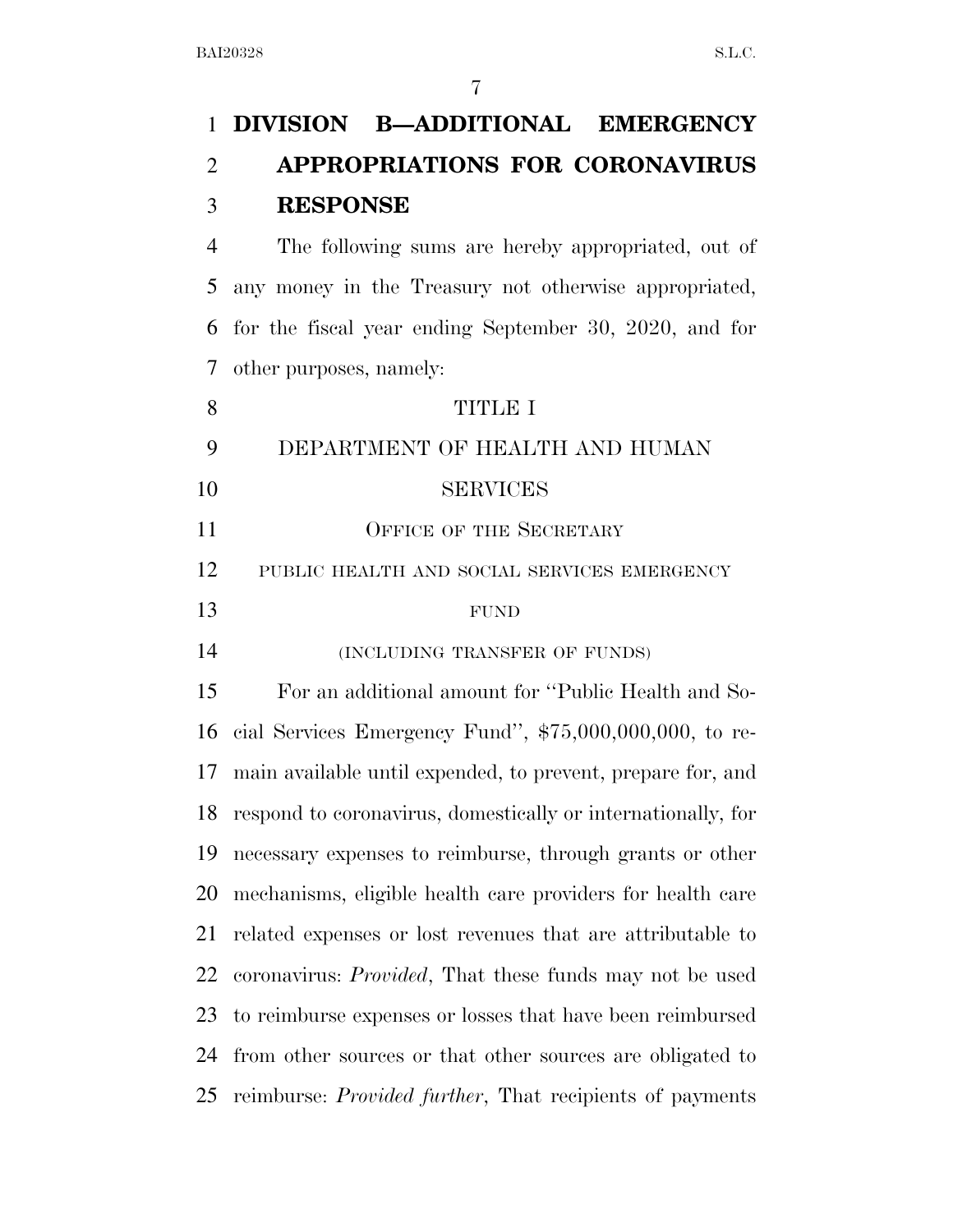# **DIVISION B—ADDITIONAL EMERGENCY APPROPRIATIONS FOR CORONAVIRUS RESPONSE**

 The following sums are hereby appropriated, out of any money in the Treasury not otherwise appropriated, for the fiscal year ending September 30, 2020, and for other purposes, namely:

| 8  | <b>TITLE I</b>                                                   |
|----|------------------------------------------------------------------|
| 9  | DEPARTMENT OF HEALTH AND HUMAN                                   |
| 10 | <b>SERVICES</b>                                                  |
| 11 | <b>OFFICE OF THE SECRETARY</b>                                   |
| 12 | PUBLIC HEALTH AND SOCIAL SERVICES EMERGENCY                      |
| 13 | <b>FUND</b>                                                      |
| 14 | (INCLUDING TRANSFER OF FUNDS)                                    |
| 15 | For an additional amount for "Public Health and So-              |
| 16 | cial Services Emergency Fund", $$75,000,000,000$ , to re-        |
| 17 | main available until expended, to prevent, prepare for, and      |
| 18 | respond to coronavirus, domestically or internationally, for     |
| 19 | necessary expenses to reimburse, through grants or other         |
| 20 | mechanisms, eligible health care providers for health care       |
| 21 | related expenses or lost revenues that are attributable to       |
| 22 | coronavirus: <i>Provided</i> , That these funds may not be used  |
| 23 | to reimburse expenses or losses that have been reimbursed        |
| 24 | from other sources or that other sources are obligated to        |
| 25 | reimburse: <i>Provided further</i> , That recipients of payments |
|    |                                                                  |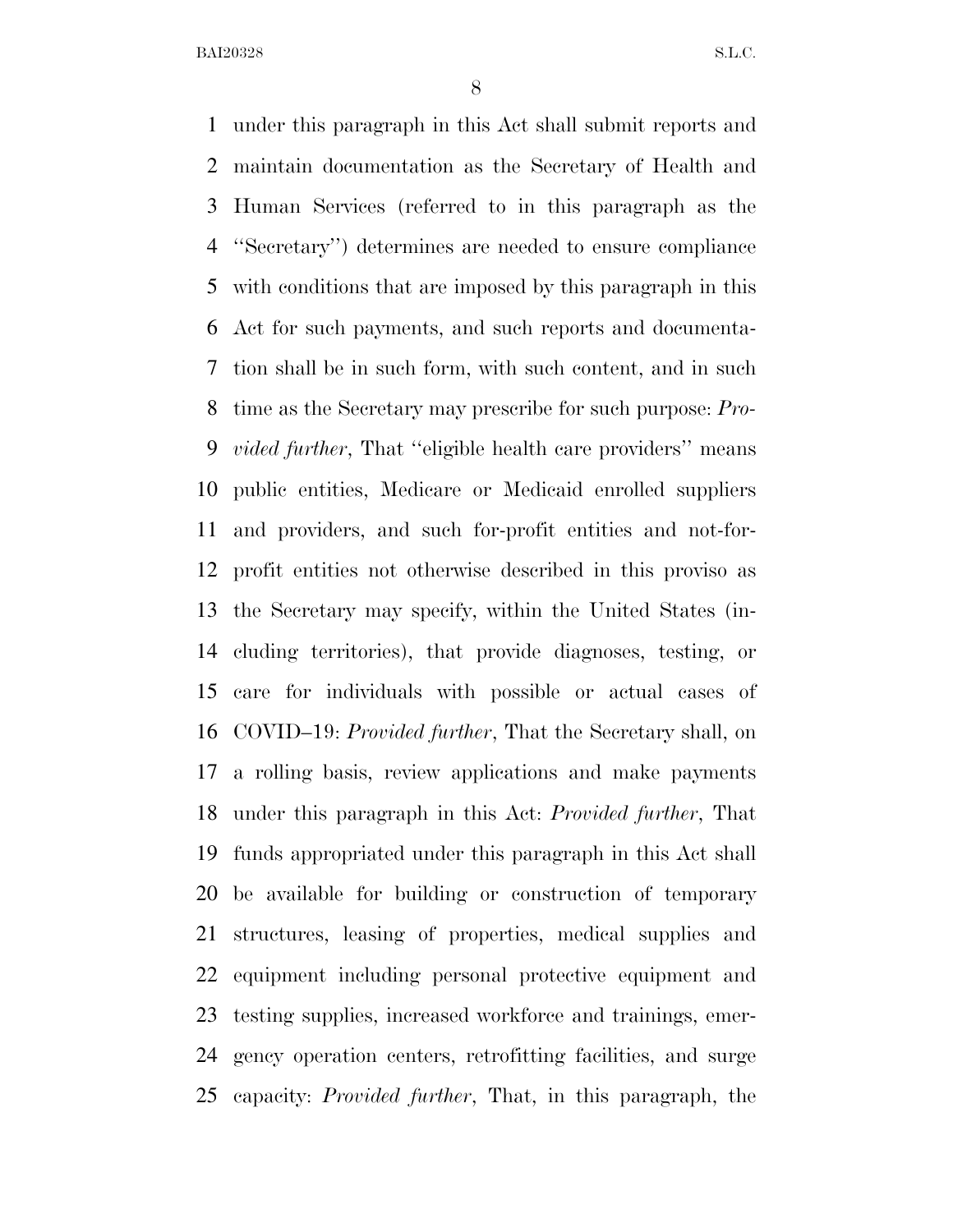under this paragraph in this Act shall submit reports and maintain documentation as the Secretary of Health and Human Services (referred to in this paragraph as the ''Secretary'') determines are needed to ensure compliance with conditions that are imposed by this paragraph in this Act for such payments, and such reports and documenta- tion shall be in such form, with such content, and in such time as the Secretary may prescribe for such purpose: *Pro- vided further*, That ''eligible health care providers'' means public entities, Medicare or Medicaid enrolled suppliers and providers, and such for-profit entities and not-for- profit entities not otherwise described in this proviso as the Secretary may specify, within the United States (in- cluding territories), that provide diagnoses, testing, or care for individuals with possible or actual cases of COVID–19: *Provided further*, That the Secretary shall, on a rolling basis, review applications and make payments under this paragraph in this Act: *Provided further*, That funds appropriated under this paragraph in this Act shall be available for building or construction of temporary structures, leasing of properties, medical supplies and equipment including personal protective equipment and testing supplies, increased workforce and trainings, emer- gency operation centers, retrofitting facilities, and surge capacity: *Provided further*, That, in this paragraph, the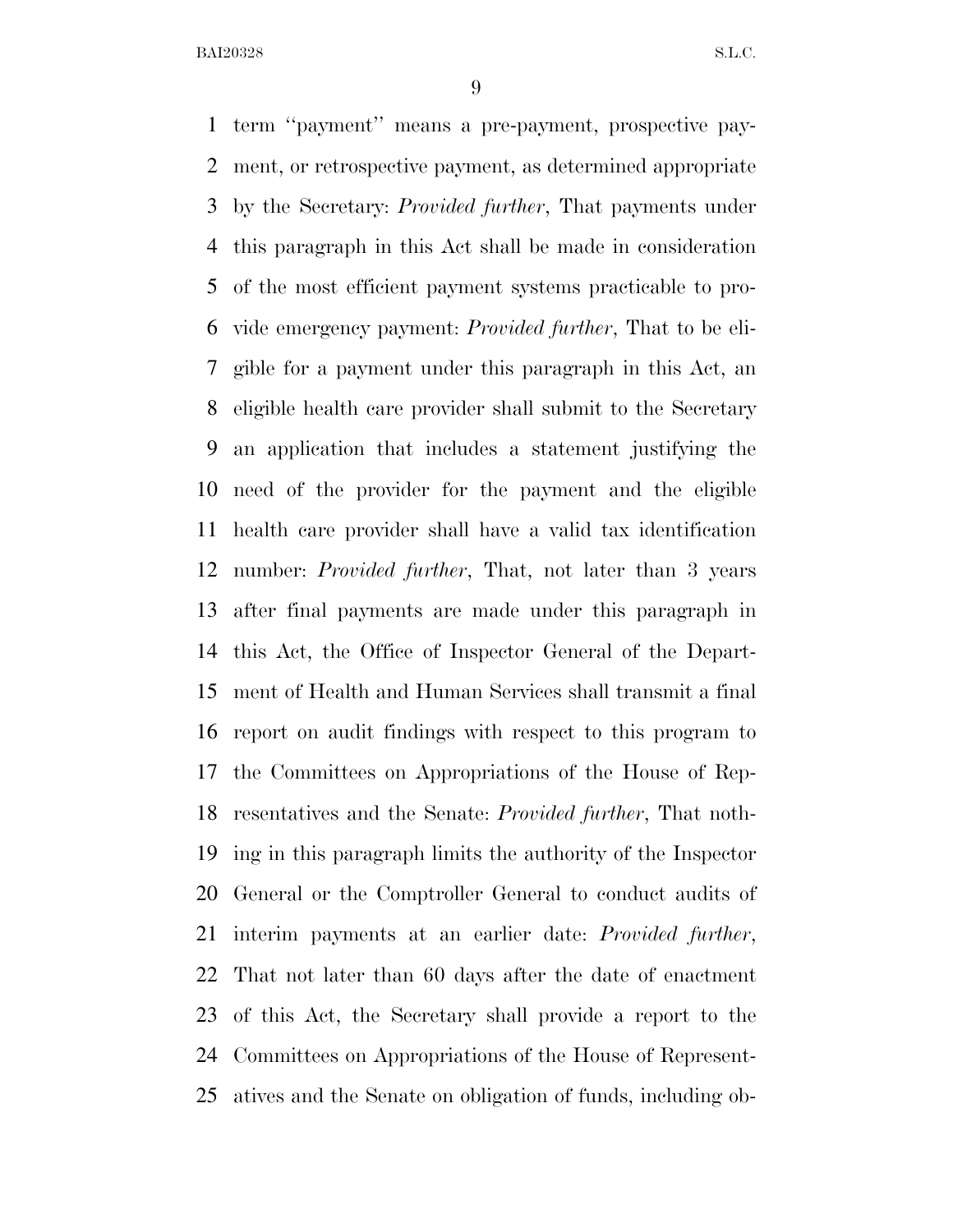term ''payment'' means a pre-payment, prospective pay- ment, or retrospective payment, as determined appropriate by the Secretary: *Provided further*, That payments under this paragraph in this Act shall be made in consideration of the most efficient payment systems practicable to pro- vide emergency payment: *Provided further*, That to be eli- gible for a payment under this paragraph in this Act, an eligible health care provider shall submit to the Secretary an application that includes a statement justifying the need of the provider for the payment and the eligible health care provider shall have a valid tax identification number: *Provided further*, That, not later than 3 years after final payments are made under this paragraph in this Act, the Office of Inspector General of the Depart- ment of Health and Human Services shall transmit a final report on audit findings with respect to this program to the Committees on Appropriations of the House of Rep- resentatives and the Senate: *Provided further*, That noth- ing in this paragraph limits the authority of the Inspector General or the Comptroller General to conduct audits of interim payments at an earlier date: *Provided further*, That not later than 60 days after the date of enactment of this Act, the Secretary shall provide a report to the Committees on Appropriations of the House of Represent-atives and the Senate on obligation of funds, including ob-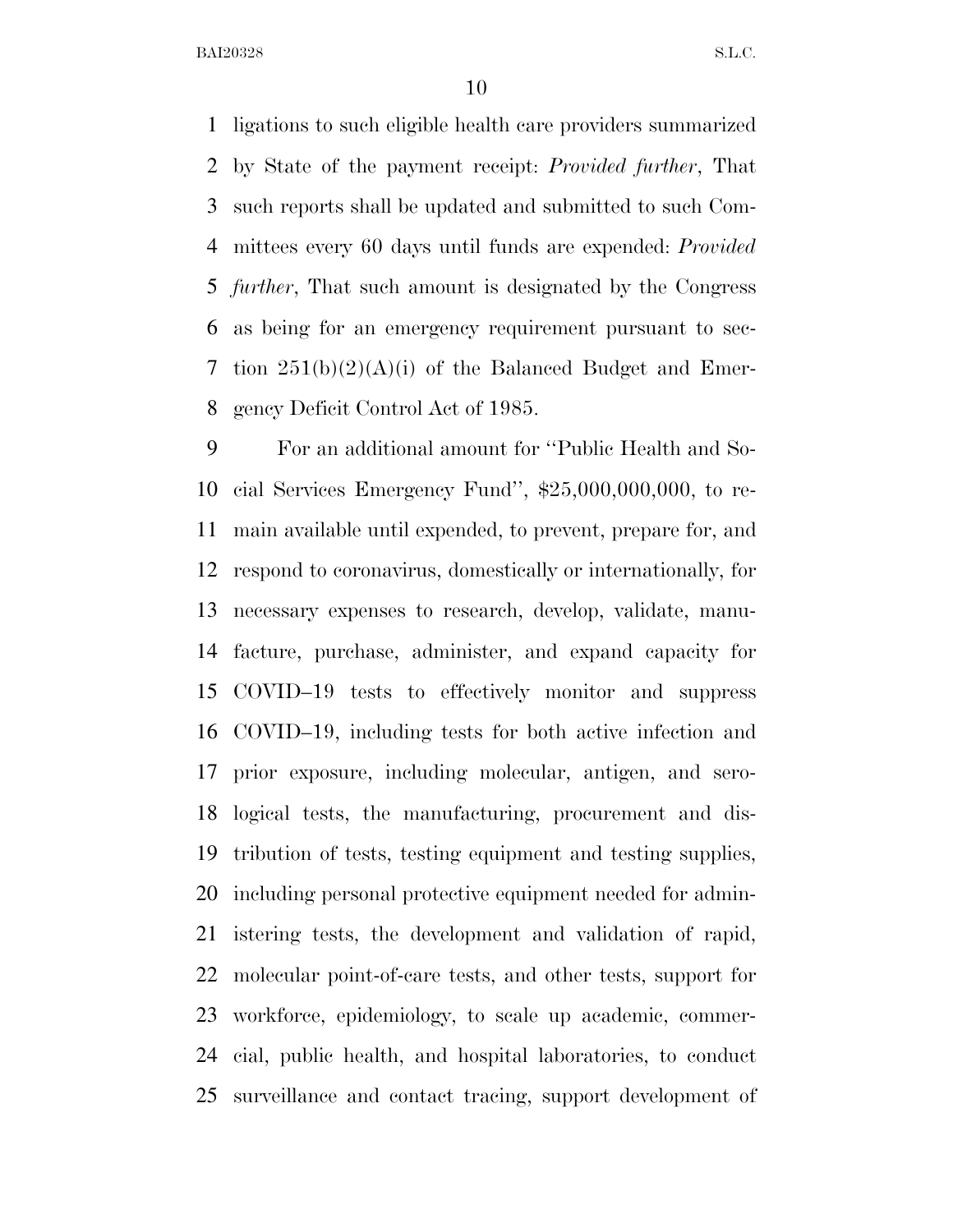ligations to such eligible health care providers summarized by State of the payment receipt: *Provided further*, That such reports shall be updated and submitted to such Com- mittees every 60 days until funds are expended: *Provided further*, That such amount is designated by the Congress as being for an emergency requirement pursuant to sec- tion 251(b)(2)(A)(i) of the Balanced Budget and Emer-gency Deficit Control Act of 1985.

 For an additional amount for ''Public Health and So- cial Services Emergency Fund'', \$25,000,000,000, to re- main available until expended, to prevent, prepare for, and respond to coronavirus, domestically or internationally, for necessary expenses to research, develop, validate, manu- facture, purchase, administer, and expand capacity for COVID–19 tests to effectively monitor and suppress COVID–19, including tests for both active infection and prior exposure, including molecular, antigen, and sero- logical tests, the manufacturing, procurement and dis- tribution of tests, testing equipment and testing supplies, including personal protective equipment needed for admin- istering tests, the development and validation of rapid, molecular point-of-care tests, and other tests, support for workforce, epidemiology, to scale up academic, commer- cial, public health, and hospital laboratories, to conduct surveillance and contact tracing, support development of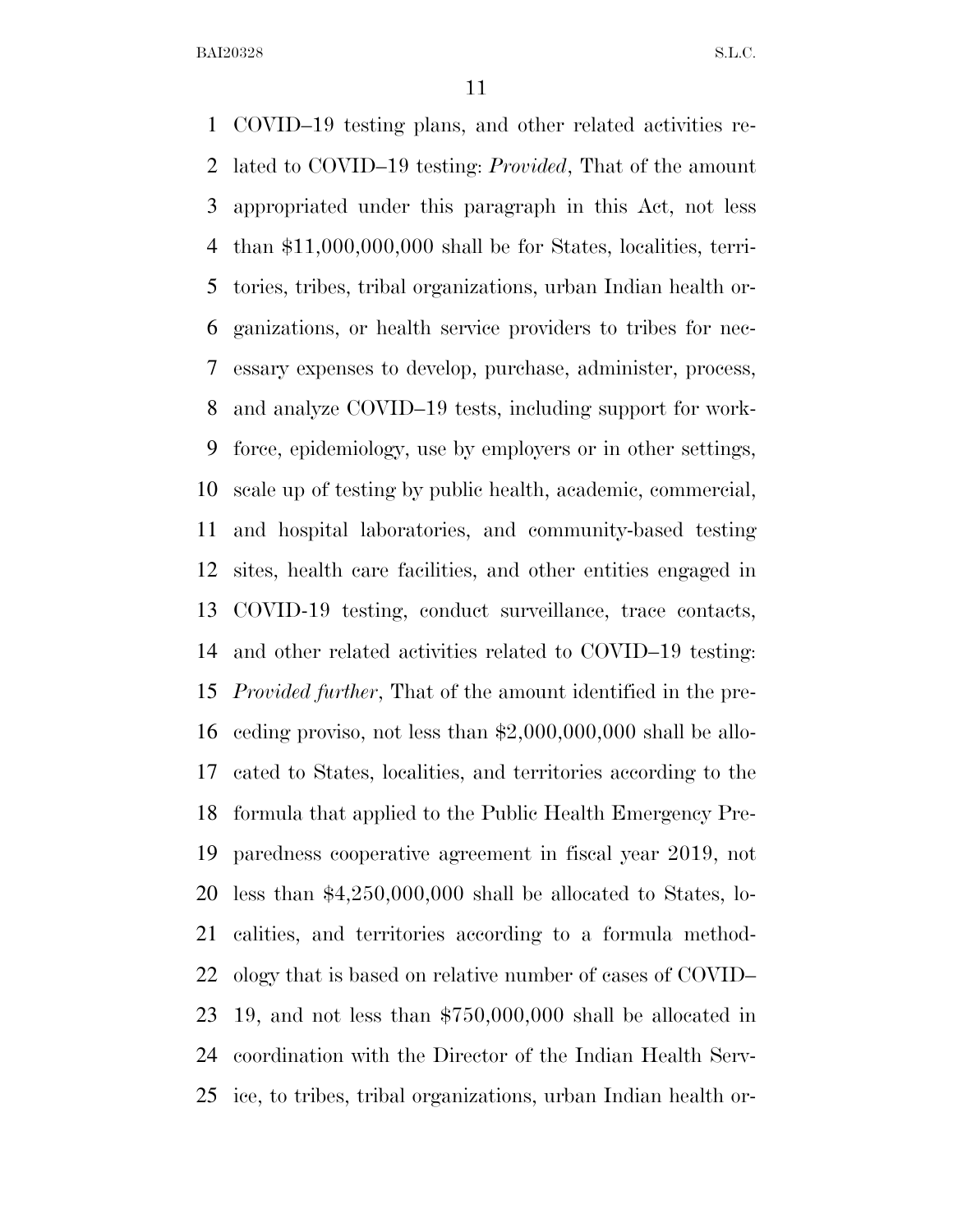COVID–19 testing plans, and other related activities re- lated to COVID–19 testing: *Provided*, That of the amount appropriated under this paragraph in this Act, not less than \$11,000,000,000 shall be for States, localities, terri- tories, tribes, tribal organizations, urban Indian health or- ganizations, or health service providers to tribes for nec- essary expenses to develop, purchase, administer, process, and analyze COVID–19 tests, including support for work- force, epidemiology, use by employers or in other settings, scale up of testing by public health, academic, commercial, and hospital laboratories, and community-based testing sites, health care facilities, and other entities engaged in COVID-19 testing, conduct surveillance, trace contacts, and other related activities related to COVID–19 testing: *Provided further*, That of the amount identified in the pre- ceding proviso, not less than \$2,000,000,000 shall be allo- cated to States, localities, and territories according to the formula that applied to the Public Health Emergency Pre- paredness cooperative agreement in fiscal year 2019, not less than \$4,250,000,000 shall be allocated to States, lo- calities, and territories according to a formula method- ology that is based on relative number of cases of COVID– 19, and not less than \$750,000,000 shall be allocated in coordination with the Director of the Indian Health Serv-ice, to tribes, tribal organizations, urban Indian health or-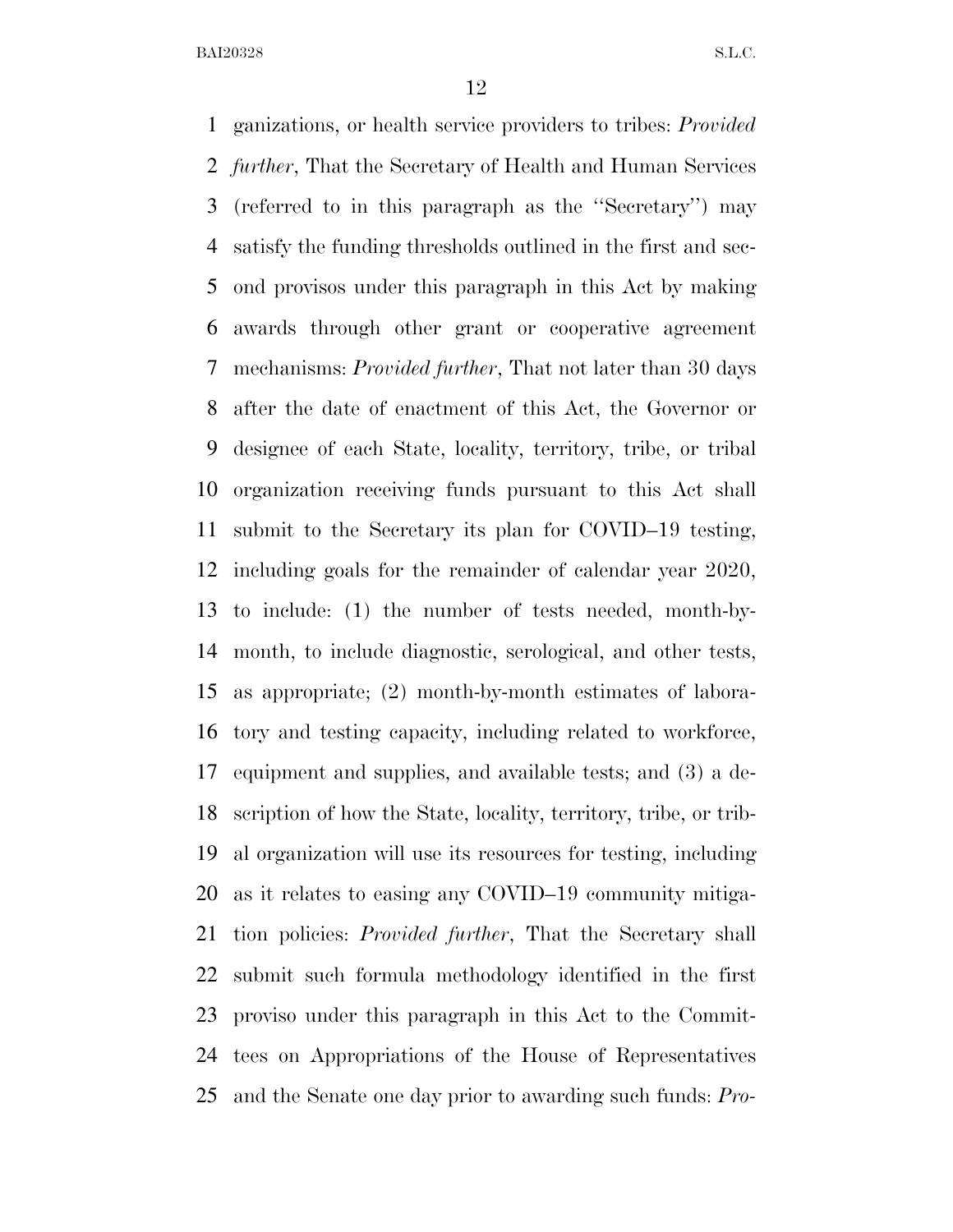ganizations, or health service providers to tribes: *Provided further*, That the Secretary of Health and Human Services (referred to in this paragraph as the ''Secretary'') may satisfy the funding thresholds outlined in the first and sec- ond provisos under this paragraph in this Act by making awards through other grant or cooperative agreement mechanisms: *Provided further*, That not later than 30 days after the date of enactment of this Act, the Governor or designee of each State, locality, territory, tribe, or tribal organization receiving funds pursuant to this Act shall submit to the Secretary its plan for COVID–19 testing, including goals for the remainder of calendar year 2020, to include: (1) the number of tests needed, month-by- month, to include diagnostic, serological, and other tests, as appropriate; (2) month-by-month estimates of labora- tory and testing capacity, including related to workforce, equipment and supplies, and available tests; and (3) a de- scription of how the State, locality, territory, tribe, or trib- al organization will use its resources for testing, including as it relates to easing any COVID–19 community mitiga- tion policies: *Provided further*, That the Secretary shall submit such formula methodology identified in the first proviso under this paragraph in this Act to the Commit- tees on Appropriations of the House of Representatives and the Senate one day prior to awarding such funds: *Pro-*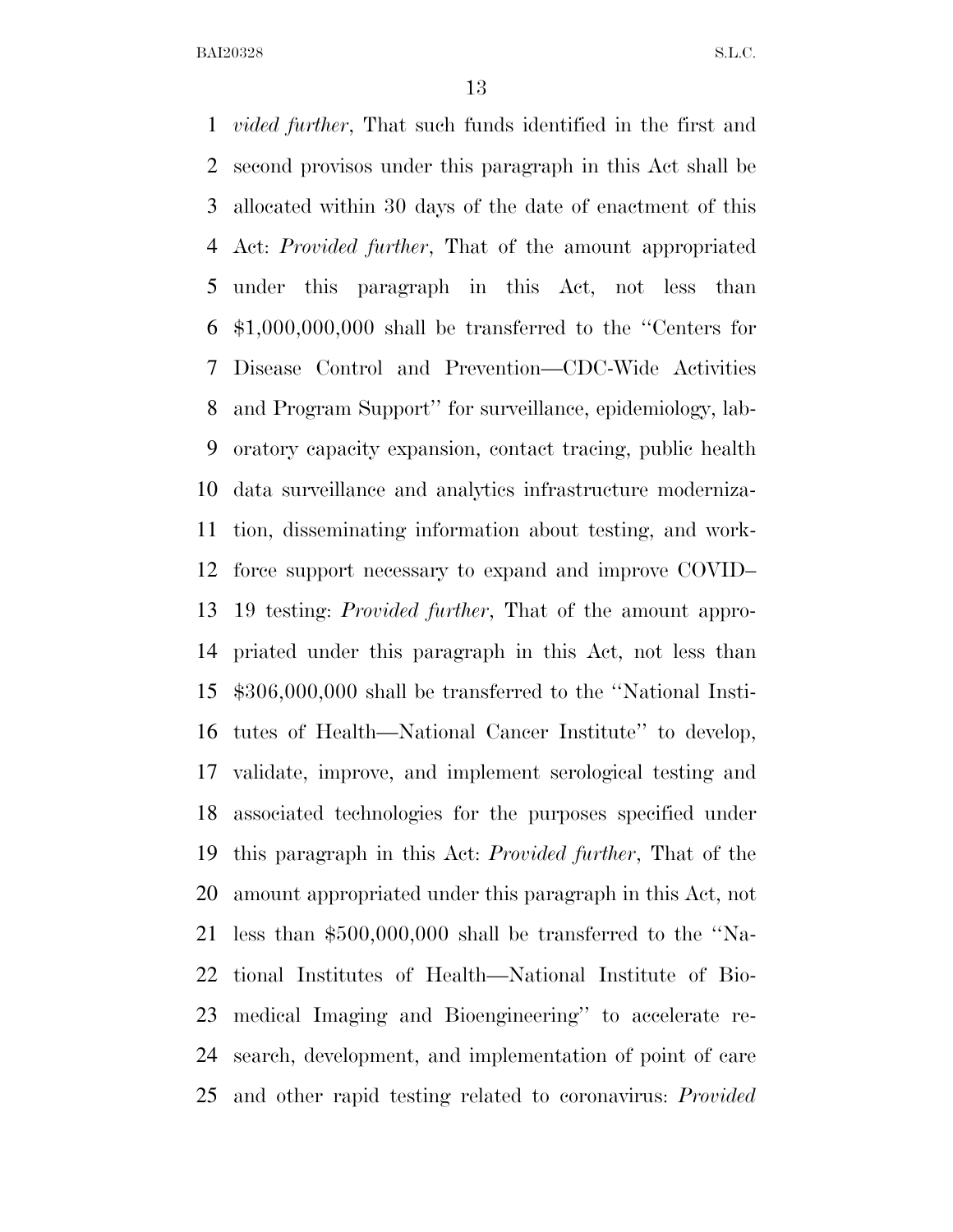*vided further*, That such funds identified in the first and second provisos under this paragraph in this Act shall be allocated within 30 days of the date of enactment of this Act: *Provided further*, That of the amount appropriated under this paragraph in this Act, not less than \$1,000,000,000 shall be transferred to the ''Centers for Disease Control and Prevention—CDC-Wide Activities and Program Support'' for surveillance, epidemiology, lab- oratory capacity expansion, contact tracing, public health data surveillance and analytics infrastructure moderniza- tion, disseminating information about testing, and work- force support necessary to expand and improve COVID– 19 testing: *Provided further*, That of the amount appro- priated under this paragraph in this Act, not less than \$306,000,000 shall be transferred to the ''National Insti- tutes of Health—National Cancer Institute'' to develop, validate, improve, and implement serological testing and associated technologies for the purposes specified under this paragraph in this Act: *Provided further*, That of the amount appropriated under this paragraph in this Act, not less than \$500,000,000 shall be transferred to the ''Na- tional Institutes of Health—National Institute of Bio- medical Imaging and Bioengineering'' to accelerate re- search, development, and implementation of point of care and other rapid testing related to coronavirus: *Provided*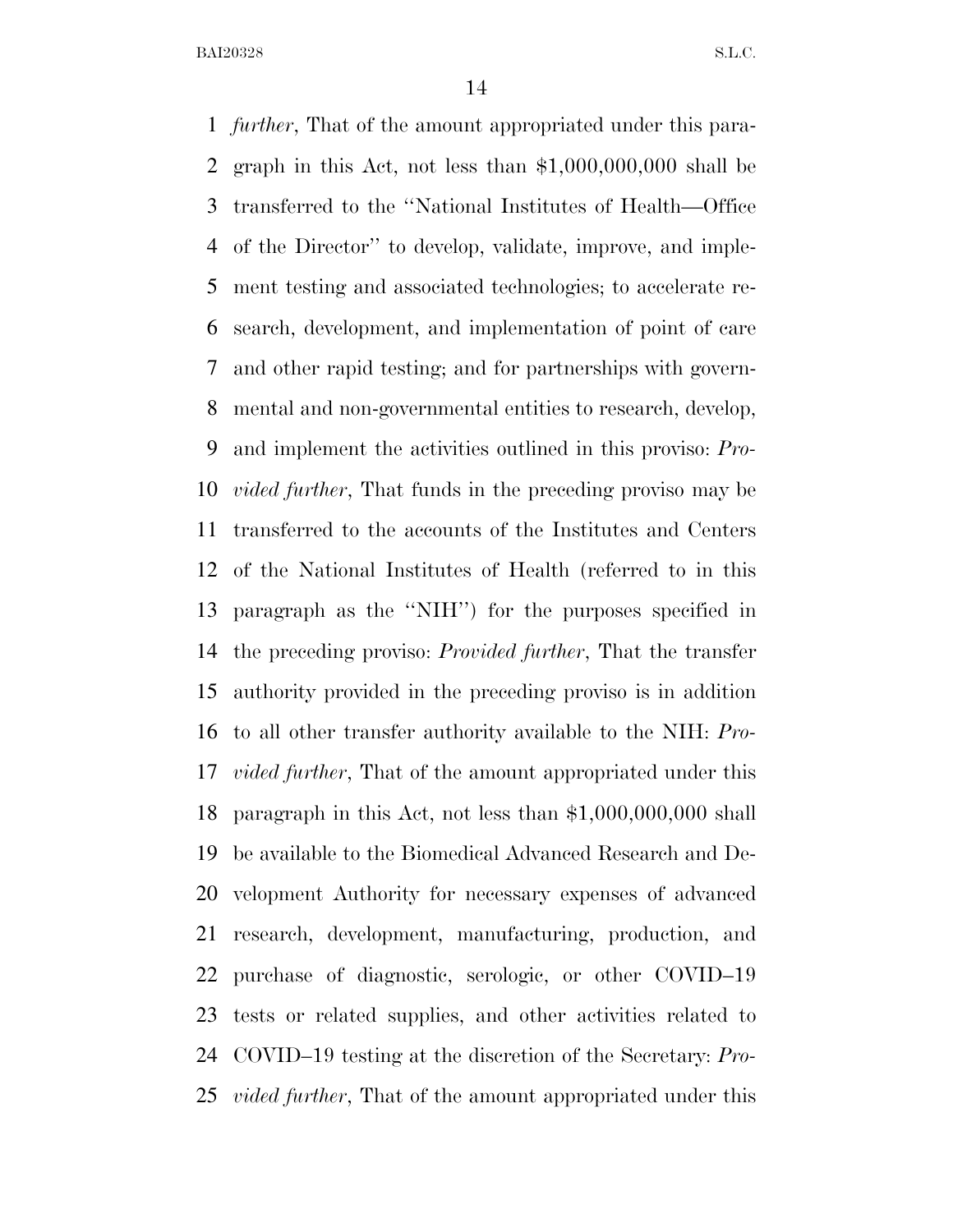*further*, That of the amount appropriated under this para- graph in this Act, not less than \$1,000,000,000 shall be transferred to the ''National Institutes of Health—Office of the Director'' to develop, validate, improve, and imple- ment testing and associated technologies; to accelerate re- search, development, and implementation of point of care and other rapid testing; and for partnerships with govern- mental and non-governmental entities to research, develop, and implement the activities outlined in this proviso: *Pro- vided further*, That funds in the preceding proviso may be transferred to the accounts of the Institutes and Centers of the National Institutes of Health (referred to in this paragraph as the ''NIH'') for the purposes specified in the preceding proviso: *Provided further*, That the transfer authority provided in the preceding proviso is in addition to all other transfer authority available to the NIH: *Pro- vided further*, That of the amount appropriated under this paragraph in this Act, not less than \$1,000,000,000 shall be available to the Biomedical Advanced Research and De- velopment Authority for necessary expenses of advanced research, development, manufacturing, production, and purchase of diagnostic, serologic, or other COVID–19 tests or related supplies, and other activities related to COVID–19 testing at the discretion of the Secretary: *Pro-vided further*, That of the amount appropriated under this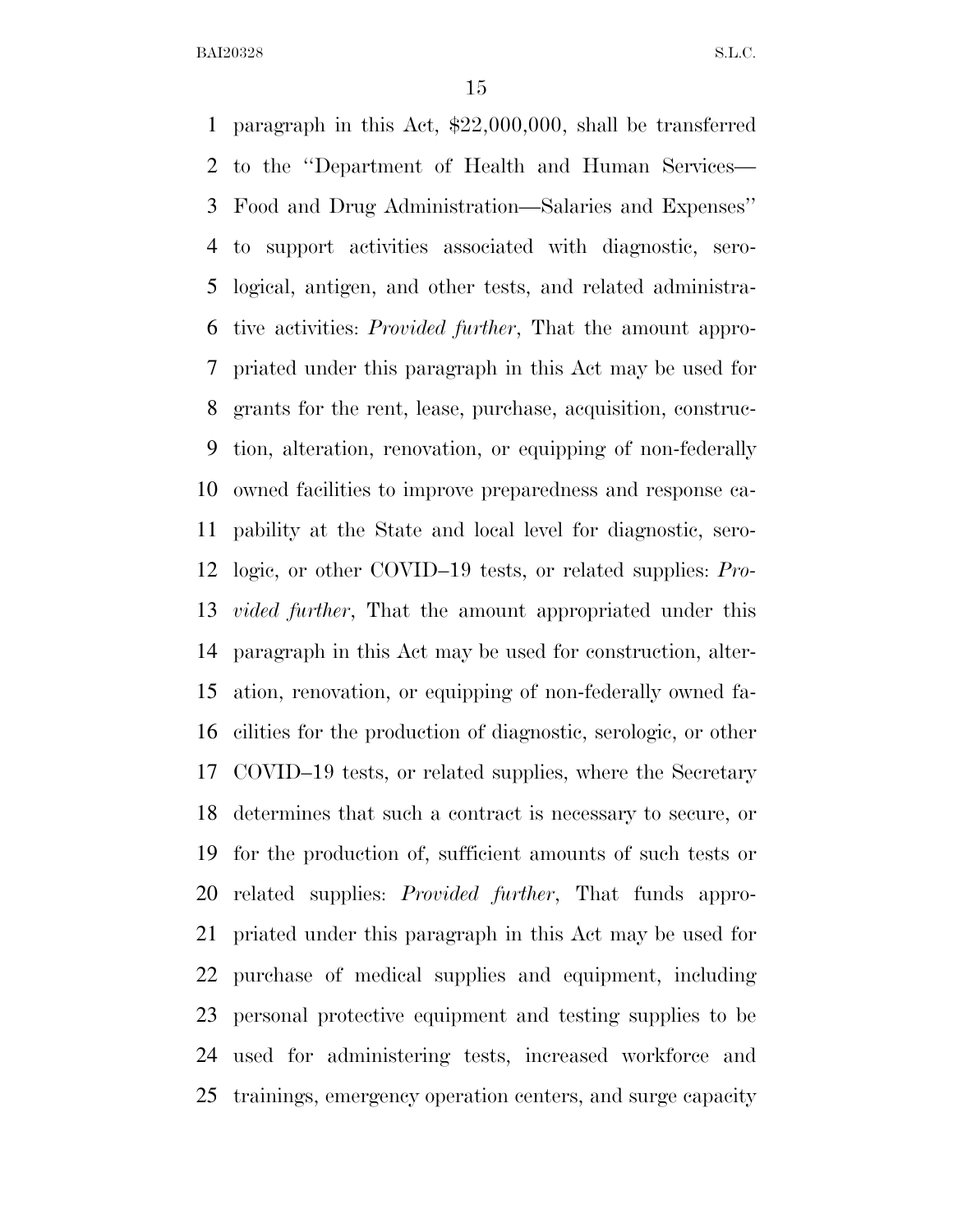paragraph in this Act, \$22,000,000, shall be transferred to the ''Department of Health and Human Services— Food and Drug Administration—Salaries and Expenses'' to support activities associated with diagnostic, sero- logical, antigen, and other tests, and related administra- tive activities: *Provided further*, That the amount appro- priated under this paragraph in this Act may be used for grants for the rent, lease, purchase, acquisition, construc- tion, alteration, renovation, or equipping of non-federally owned facilities to improve preparedness and response ca- pability at the State and local level for diagnostic, sero- logic, or other COVID–19 tests, or related supplies: *Pro- vided further*, That the amount appropriated under this paragraph in this Act may be used for construction, alter- ation, renovation, or equipping of non-federally owned fa- cilities for the production of diagnostic, serologic, or other COVID–19 tests, or related supplies, where the Secretary determines that such a contract is necessary to secure, or for the production of, sufficient amounts of such tests or related supplies: *Provided further*, That funds appro- priated under this paragraph in this Act may be used for purchase of medical supplies and equipment, including personal protective equipment and testing supplies to be used for administering tests, increased workforce and trainings, emergency operation centers, and surge capacity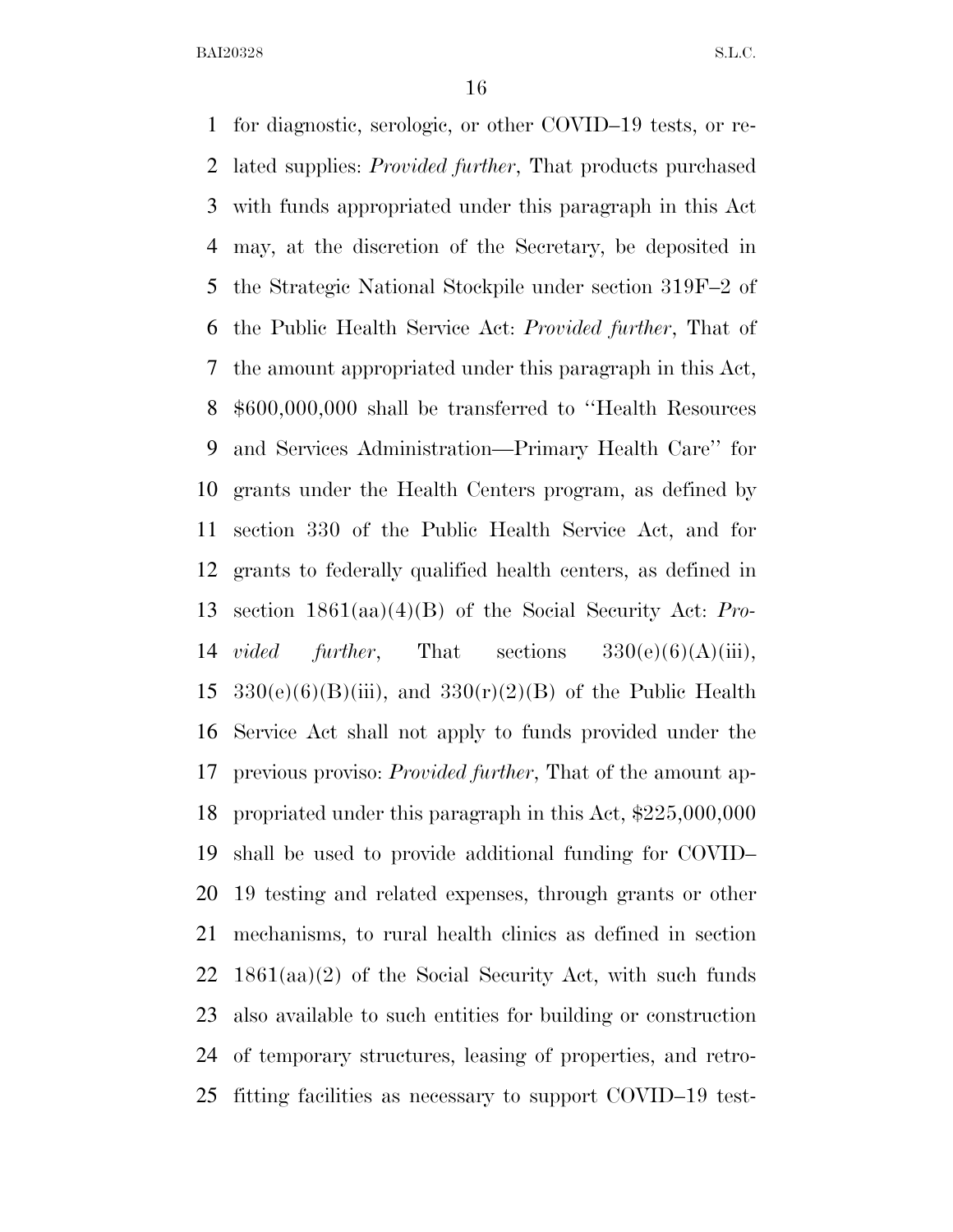for diagnostic, serologic, or other COVID–19 tests, or re- lated supplies: *Provided further*, That products purchased with funds appropriated under this paragraph in this Act may, at the discretion of the Secretary, be deposited in the Strategic National Stockpile under section 319F–2 of the Public Health Service Act: *Provided further*, That of the amount appropriated under this paragraph in this Act, \$600,000,000 shall be transferred to ''Health Resources and Services Administration—Primary Health Care'' for grants under the Health Centers program, as defined by section 330 of the Public Health Service Act, and for grants to federally qualified health centers, as defined in section 1861(aa)(4)(B) of the Social Security Act: *Pro- vided further*, That sections 330(e)(6)(A)(iii),  $330(e)(6)(B)(iii)$ , and  $330(r)(2)(B)$  of the Public Health Service Act shall not apply to funds provided under the previous proviso: *Provided further*, That of the amount ap- propriated under this paragraph in this Act, \$225,000,000 shall be used to provide additional funding for COVID– 19 testing and related expenses, through grants or other mechanisms, to rural health clinics as defined in section 1861(aa)(2) of the Social Security Act, with such funds also available to such entities for building or construction of temporary structures, leasing of properties, and retro-fitting facilities as necessary to support COVID–19 test-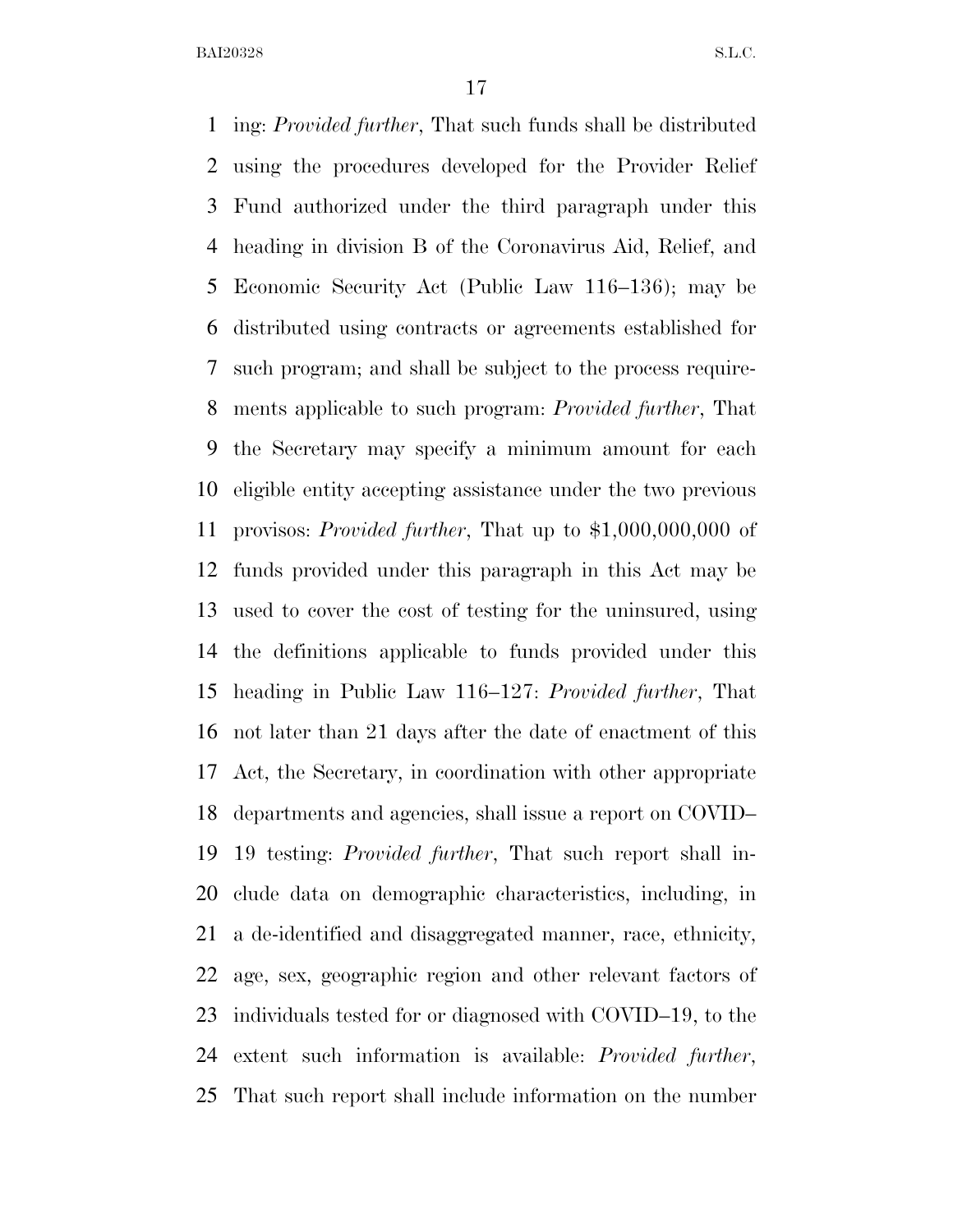ing: *Provided further*, That such funds shall be distributed using the procedures developed for the Provider Relief Fund authorized under the third paragraph under this heading in division B of the Coronavirus Aid, Relief, and Economic Security Act (Public Law 116–136); may be distributed using contracts or agreements established for such program; and shall be subject to the process require- ments applicable to such program: *Provided further*, That the Secretary may specify a minimum amount for each eligible entity accepting assistance under the two previous provisos: *Provided further*, That up to \$1,000,000,000 of funds provided under this paragraph in this Act may be used to cover the cost of testing for the uninsured, using the definitions applicable to funds provided under this heading in Public Law 116–127: *Provided further*, That not later than 21 days after the date of enactment of this Act, the Secretary, in coordination with other appropriate departments and agencies, shall issue a report on COVID– 19 testing: *Provided further*, That such report shall in- clude data on demographic characteristics, including, in a de-identified and disaggregated manner, race, ethnicity, age, sex, geographic region and other relevant factors of individuals tested for or diagnosed with COVID–19, to the extent such information is available: *Provided further*, That such report shall include information on the number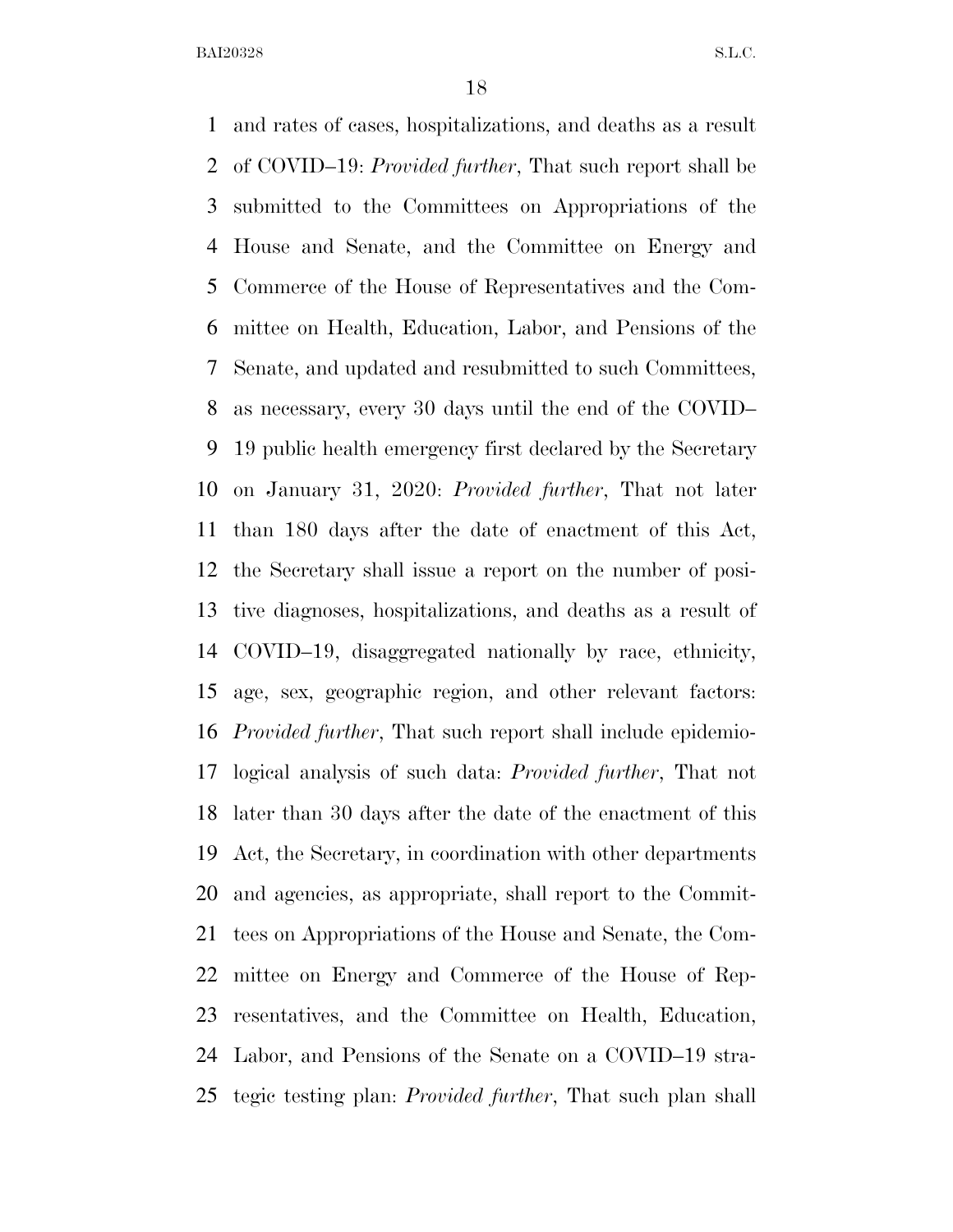and rates of cases, hospitalizations, and deaths as a result of COVID–19: *Provided further*, That such report shall be submitted to the Committees on Appropriations of the House and Senate, and the Committee on Energy and Commerce of the House of Representatives and the Com- mittee on Health, Education, Labor, and Pensions of the Senate, and updated and resubmitted to such Committees, as necessary, every 30 days until the end of the COVID– 19 public health emergency first declared by the Secretary on January 31, 2020: *Provided further*, That not later than 180 days after the date of enactment of this Act, the Secretary shall issue a report on the number of posi- tive diagnoses, hospitalizations, and deaths as a result of COVID–19, disaggregated nationally by race, ethnicity, age, sex, geographic region, and other relevant factors: *Provided further*, That such report shall include epidemio- logical analysis of such data: *Provided further*, That not later than 30 days after the date of the enactment of this Act, the Secretary, in coordination with other departments and agencies, as appropriate, shall report to the Commit- tees on Appropriations of the House and Senate, the Com- mittee on Energy and Commerce of the House of Rep- resentatives, and the Committee on Health, Education, Labor, and Pensions of the Senate on a COVID–19 stra-tegic testing plan: *Provided further*, That such plan shall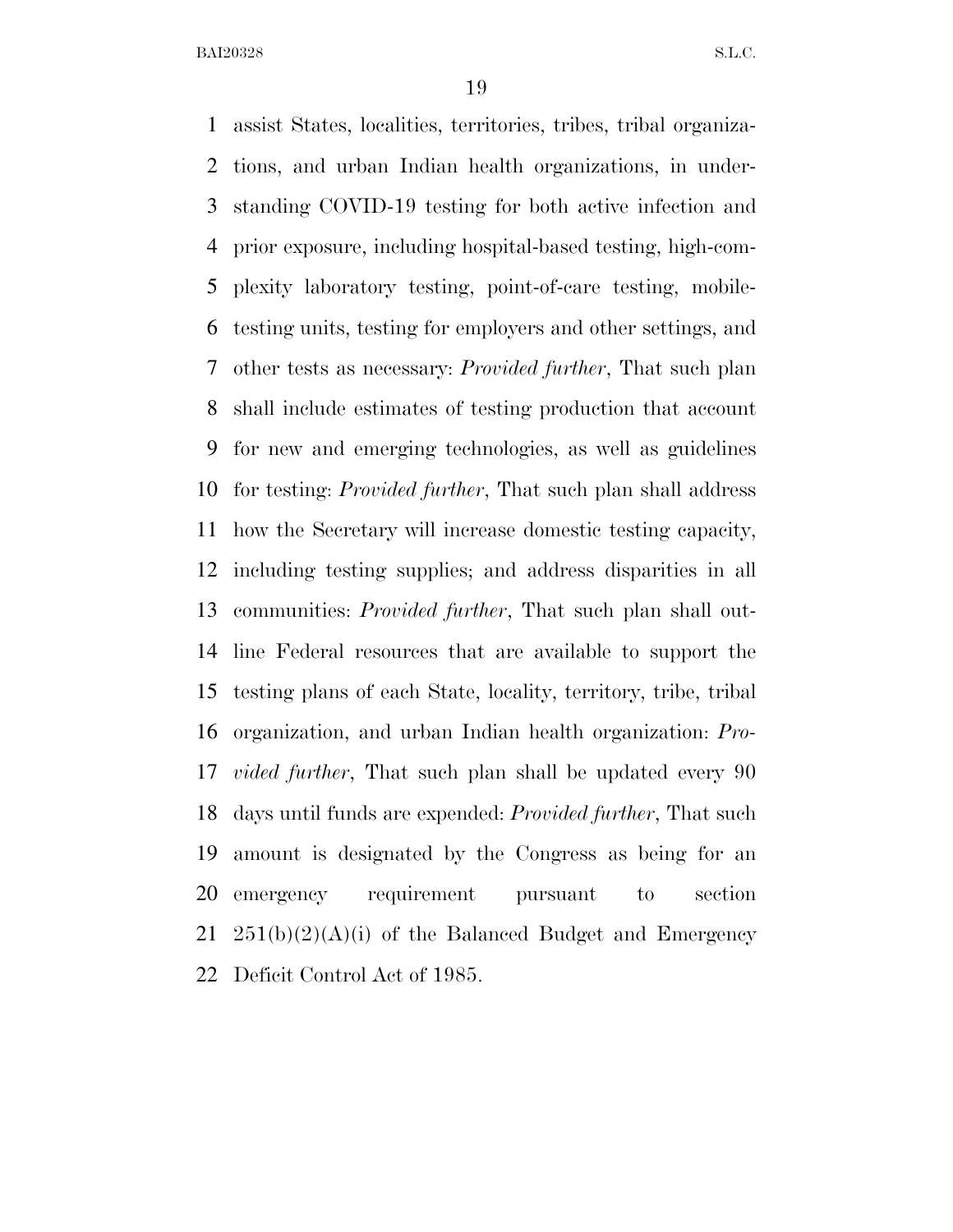assist States, localities, territories, tribes, tribal organiza- tions, and urban Indian health organizations, in under- standing COVID-19 testing for both active infection and prior exposure, including hospital-based testing, high-com- plexity laboratory testing, point-of-care testing, mobile- testing units, testing for employers and other settings, and other tests as necessary: *Provided further*, That such plan shall include estimates of testing production that account for new and emerging technologies, as well as guidelines for testing: *Provided further*, That such plan shall address how the Secretary will increase domestic testing capacity, including testing supplies; and address disparities in all communities: *Provided further*, That such plan shall out- line Federal resources that are available to support the testing plans of each State, locality, territory, tribe, tribal organization, and urban Indian health organization: *Pro- vided further*, That such plan shall be updated every 90 days until funds are expended: *Provided further*, That such amount is designated by the Congress as being for an emergency requirement pursuant to section  $251(b)(2)(A)(i)$  of the Balanced Budget and Emergency Deficit Control Act of 1985.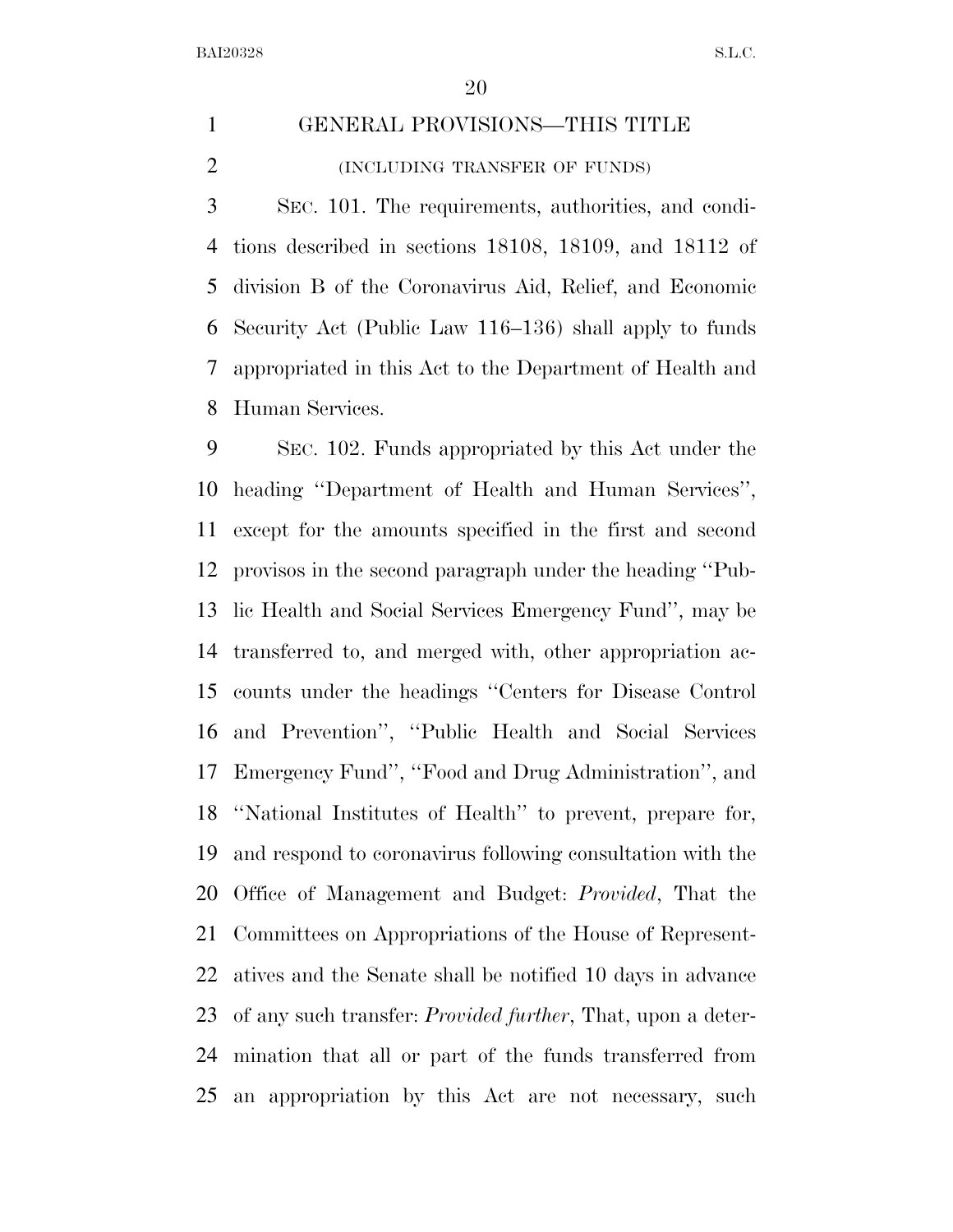### GENERAL PROVISIONS—THIS TITLE (INCLUDING TRANSFER OF FUNDS)

 SEC. 101. The requirements, authorities, and condi- tions described in sections 18108, 18109, and 18112 of division B of the Coronavirus Aid, Relief, and Economic Security Act (Public Law 116–136) shall apply to funds appropriated in this Act to the Department of Health and Human Services.

 SEC. 102. Funds appropriated by this Act under the heading ''Department of Health and Human Services'', except for the amounts specified in the first and second provisos in the second paragraph under the heading ''Pub- lic Health and Social Services Emergency Fund'', may be transferred to, and merged with, other appropriation ac- counts under the headings ''Centers for Disease Control and Prevention'', ''Public Health and Social Services Emergency Fund'', ''Food and Drug Administration'', and ''National Institutes of Health'' to prevent, prepare for, and respond to coronavirus following consultation with the Office of Management and Budget: *Provided*, That the Committees on Appropriations of the House of Represent- atives and the Senate shall be notified 10 days in advance of any such transfer: *Provided further*, That, upon a deter- mination that all or part of the funds transferred from an appropriation by this Act are not necessary, such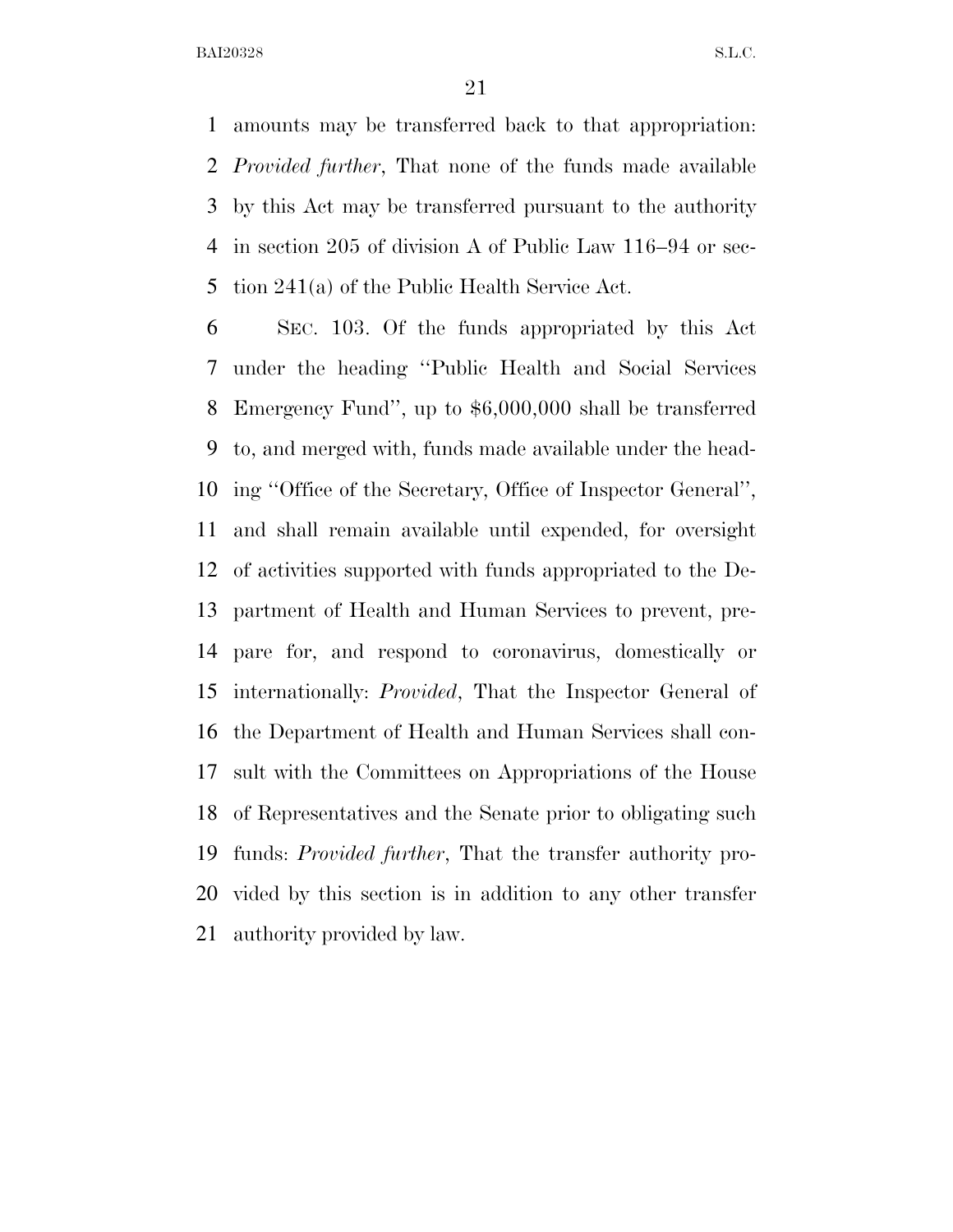amounts may be transferred back to that appropriation: *Provided further*, That none of the funds made available by this Act may be transferred pursuant to the authority in section 205 of division A of Public Law 116–94 or sec-tion 241(a) of the Public Health Service Act.

 SEC. 103. Of the funds appropriated by this Act under the heading ''Public Health and Social Services Emergency Fund'', up to \$6,000,000 shall be transferred to, and merged with, funds made available under the head- ing ''Office of the Secretary, Office of Inspector General'', and shall remain available until expended, for oversight of activities supported with funds appropriated to the De- partment of Health and Human Services to prevent, pre- pare for, and respond to coronavirus, domestically or internationally: *Provided*, That the Inspector General of the Department of Health and Human Services shall con- sult with the Committees on Appropriations of the House of Representatives and the Senate prior to obligating such funds: *Provided further*, That the transfer authority pro- vided by this section is in addition to any other transfer authority provided by law.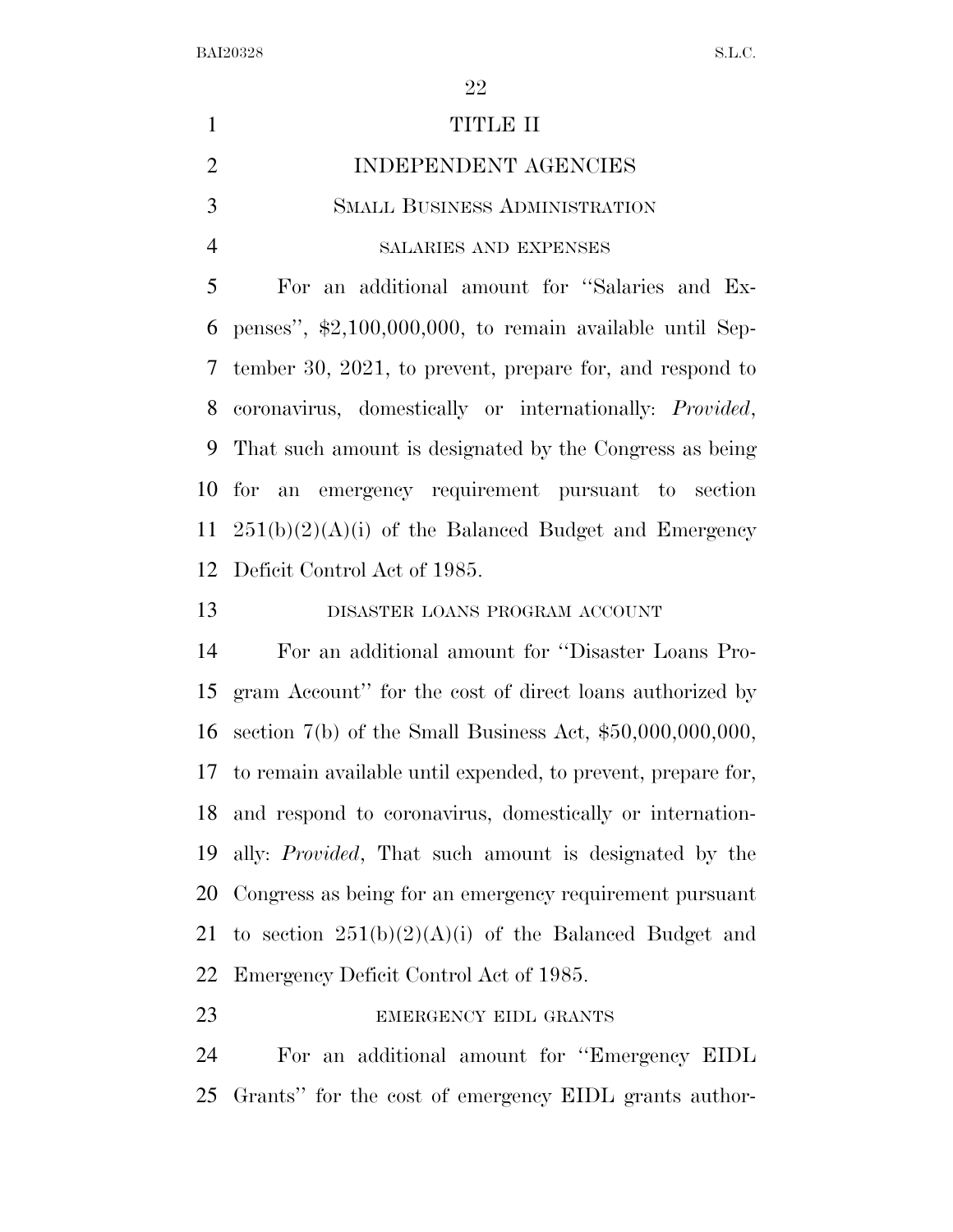| $\mathbf{1}$   | <b>TITLE II</b>                                                    |
|----------------|--------------------------------------------------------------------|
| $\overline{2}$ | INDEPENDENT AGENCIES                                               |
| 3              | <b>SMALL BUSINESS ADMINISTRATION</b>                               |
| $\overline{4}$ | SALARIES AND EXPENSES                                              |
| 5              | For an additional amount for "Salaries and Ex-                     |
| 6              | penses", $\text{\$2,100,000,000}$ , to remain available until Sep- |
| 7              | tember 30, 2021, to prevent, prepare for, and respond to           |
| 8              | coronavirus, domestically or internationally: <i>Provided</i> ,    |
| 9              | That such amount is designated by the Congress as being            |
| 10             | for an emergency requirement pursuant to section                   |
| 11             | $251(b)(2)(A)(i)$ of the Balanced Budget and Emergency             |
| 12             | Deficit Control Act of 1985.                                       |
| 13             | DISASTER LOANS PROGRAM ACCOUNT                                     |
| 14             | For an additional amount for "Disaster Loans Pro-                  |
| 15             | gram Account" for the cost of direct loans authorized by           |
| 16             | section $7(b)$ of the Small Business Act, $$50,000,000,000,$       |
| 17             | to remain available until expended, to prevent, prepare for,       |
| 18             | and respond to coronavirus, domestically or internation-           |
| 19             | ally: <i>Provided</i> , That such amount is designated by the      |
| 20             | Congress as being for an emergency requirement pursuant            |
| 21             | to section $251(b)(2)(A)(i)$ of the Balanced Budget and            |
| 22             | Emergency Deficit Control Act of 1985.                             |
| 23             | EMERGENCY EIDL GRANTS                                              |

For an additional amount for ''Emergency EIDL

Grants'' for the cost of emergency EIDL grants author-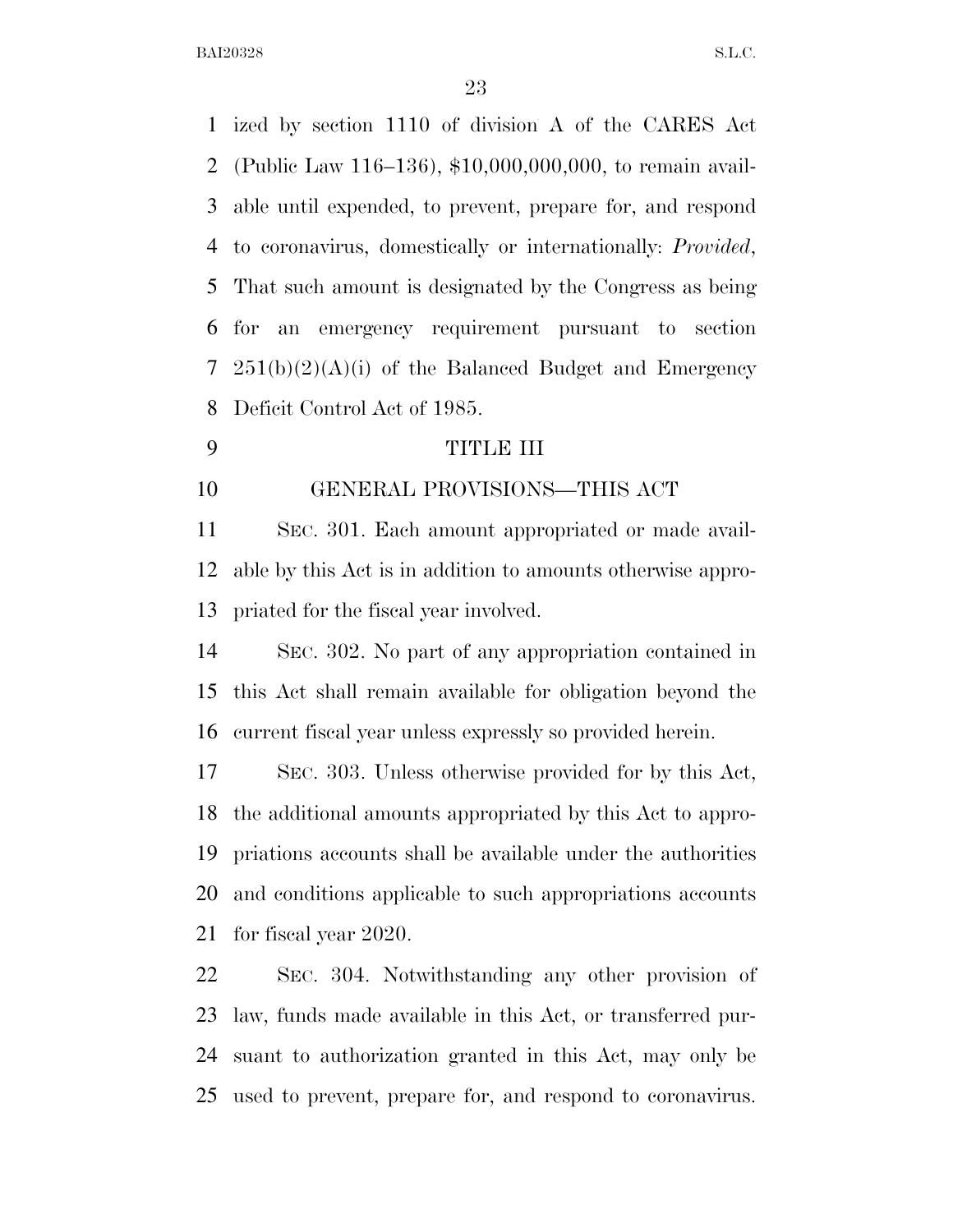ized by section 1110 of division A of the CARES Act (Public Law 116–136), \$10,000,000,000, to remain avail- able until expended, to prevent, prepare for, and respond to coronavirus, domestically or internationally: *Provided*, That such amount is designated by the Congress as being for an emergency requirement pursuant to section  $251(b)(2)(A)(i)$  of the Balanced Budget and Emergency Deficit Control Act of 1985.

TITLE III

## GENERAL PROVISIONS—THIS ACT

 SEC. 301. Each amount appropriated or made avail- able by this Act is in addition to amounts otherwise appro-priated for the fiscal year involved.

 SEC. 302. No part of any appropriation contained in this Act shall remain available for obligation beyond the current fiscal year unless expressly so provided herein.

 SEC. 303. Unless otherwise provided for by this Act, the additional amounts appropriated by this Act to appro- priations accounts shall be available under the authorities and conditions applicable to such appropriations accounts for fiscal year 2020.

 SEC. 304. Notwithstanding any other provision of law, funds made available in this Act, or transferred pur- suant to authorization granted in this Act, may only be used to prevent, prepare for, and respond to coronavirus.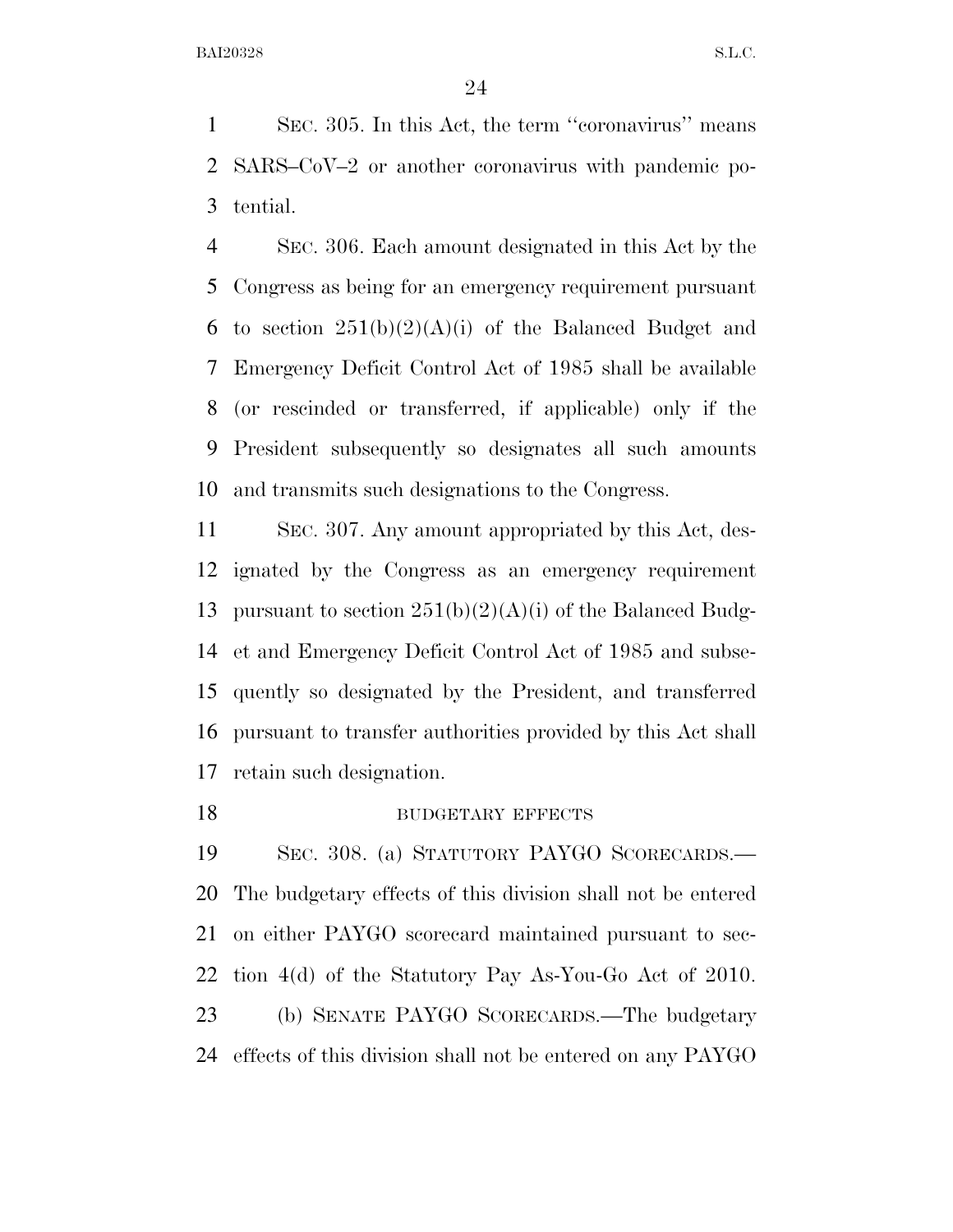SEC. 305. In this Act, the term ''coronavirus'' means SARS–CoV–2 or another coronavirus with pandemic po-tential.

 SEC. 306. Each amount designated in this Act by the Congress as being for an emergency requirement pursuant 6 to section  $251(b)(2)(A)(i)$  of the Balanced Budget and Emergency Deficit Control Act of 1985 shall be available (or rescinded or transferred, if applicable) only if the President subsequently so designates all such amounts and transmits such designations to the Congress.

 SEC. 307. Any amount appropriated by this Act, des- ignated by the Congress as an emergency requirement 13 pursuant to section  $251(b)(2)(A)(i)$  of the Balanced Budg- et and Emergency Deficit Control Act of 1985 and subse- quently so designated by the President, and transferred pursuant to transfer authorities provided by this Act shall retain such designation.

#### 18 BUDGETARY EFFECTS

 SEC. 308. (a) STATUTORY PAYGO SCORECARDS.— The budgetary effects of this division shall not be entered on either PAYGO scorecard maintained pursuant to sec- tion 4(d) of the Statutory Pay As-You-Go Act of 2010. (b) SENATE PAYGO SCORECARDS.—The budgetary effects of this division shall not be entered on any PAYGO